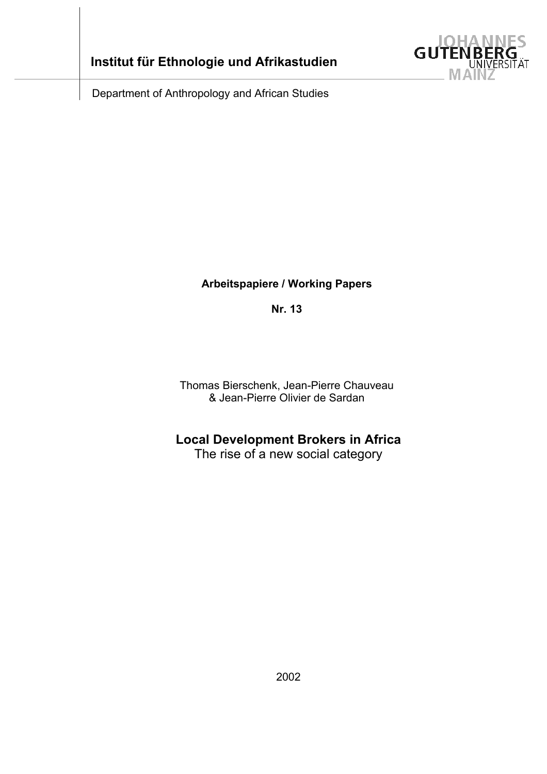

Department of Anthropology and African Studies

# **Arbeitspapiere / Working Papers**

**Nr. 13** 

Thomas Bierschenk, Jean-Pierre Chauveau & Jean-Pierre Olivier de Sardan

# **Local Development Brokers in Africa**

The rise of a new social category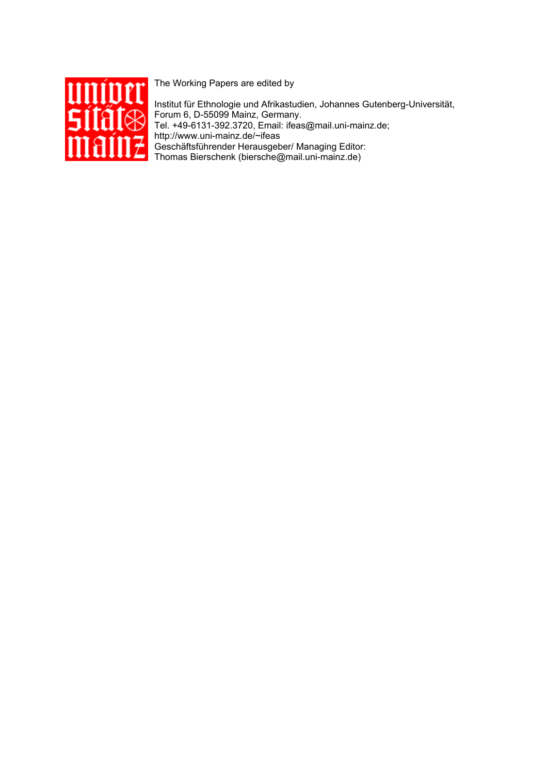

The Working Papers are edited by

Institut für Ethnologie und Afrikastudien, Johannes Gutenberg-Universität, Forum 6, D-55099 Mainz, Germany. Tel. +49-6131-392.3720, Email: ifeas@mail.uni-mainz.de; http://www.uni-mainz.de/~ifeas Geschäftsführender Herausgeber/ Managing Editor: Thomas Bierschenk (biersche@mail.uni-mainz.de)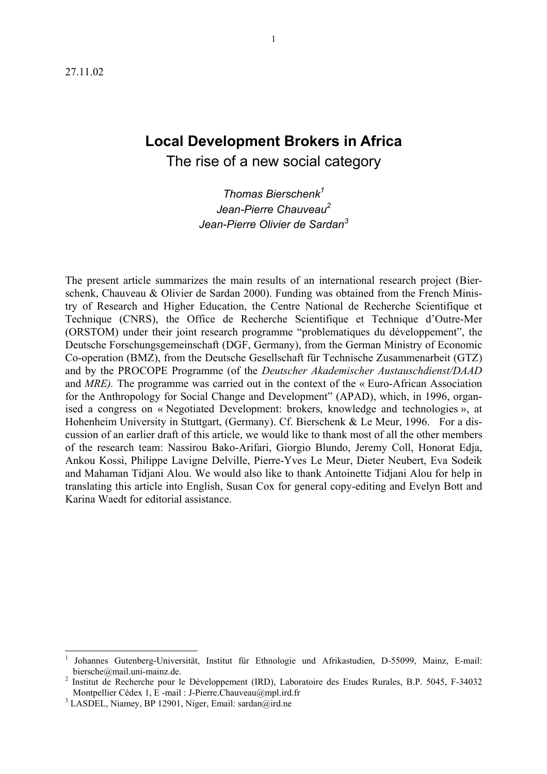# **Local Development Brokers in Africa**  The rise of a new social category

*Thomas Bierschenk1 Jean-Pierre Chauveau2 Jean-Pierre Olivier de Sardan3*

The present article summarizes the main results of an international research project (Bierschenk, Chauveau & Olivier de Sardan 2000). Funding was obtained from the French Ministry of Research and Higher Education, the Centre National de Recherche Scientifique et Technique (CNRS), the Office de Recherche Scientifique et Technique d'Outre-Mer (ORSTOM) under their joint research programme "problematiques du développement", the Deutsche Forschungsgemeinschaft (DGF, Germany), from the German Ministry of Economic Co-operation (BMZ), from the Deutsche Gesellschaft für Technische Zusammenarbeit (GTZ) and by the PROCOPE Programme (of the *Deutscher Akademischer Austauschdienst/DAAD*  and *MRE).* The programme was carried out in the context of the « Euro-African Association for the Anthropology for Social Change and Development" (APAD), which, in 1996, organised a congress on « Negotiated Development: brokers, knowledge and technologies », at Hohenheim University in Stuttgart, (Germany). Cf. Bierschenk & Le Meur, 1996. For a discussion of an earlier draft of this article, we would like to thank most of all the other members of the research team: Nassirou Bako-Arifari, Giorgio Blundo, Jeremy Coll, Honorat Edja, Ankou Kossi, Philippe Lavigne Delville, Pierre-Yves Le Meur, Dieter Neubert, Eva Sodeik and Mahaman Tidjani Alou. We would also like to thank Antoinette Tidjani Alou for help in translating this article into English, Susan Cox for general copy-editing and Evelyn Bott and Karina Waedt for editorial assistance.

<sup>1</sup> Johannes Gutenberg-Universität, Institut für Ethnologie und Afrikastudien, D-55099, Mainz, E-mail: biersche@mail.uni-mainz.de. 2

Institut de Recherche pour le Développement (IRD), Laboratoire des Etudes Rurales, B.P. 5045, F-34032 Montpellier Cédex 1, E -mail : J-Pierre.Chauveau@mpl.ird.fr 3

 $3$  LASDEL, Niamey, BP 12901, Niger, Email: sardan@ird.ne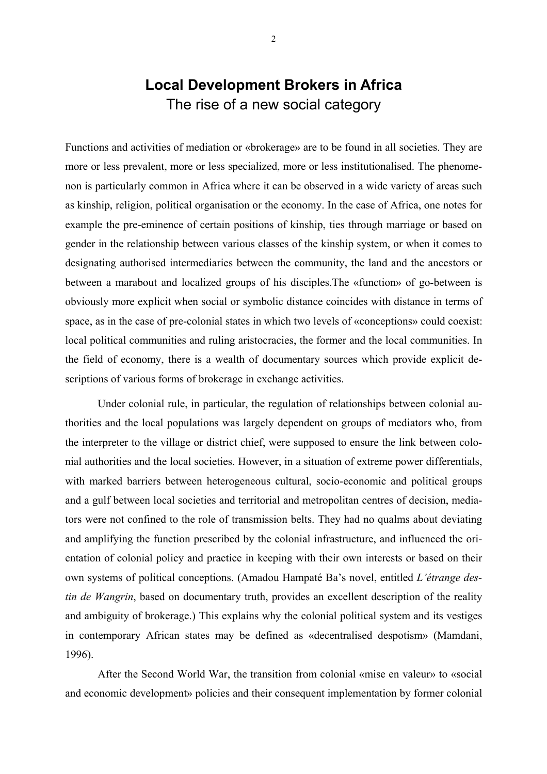# **Local Development Brokers in Africa**  The rise of a new social category

Functions and activities of mediation or «brokerage» are to be found in all societies. They are more or less prevalent, more or less specialized, more or less institutionalised. The phenomenon is particularly common in Africa where it can be observed in a wide variety of areas such as kinship, religion, political organisation or the economy. In the case of Africa, one notes for example the pre-eminence of certain positions of kinship, ties through marriage or based on gender in the relationship between various classes of the kinship system, or when it comes to designating authorised intermediaries between the community, the land and the ancestors or between a marabout and localized groups of his disciples.The «function» of go-between is obviously more explicit when social or symbolic distance coincides with distance in terms of space, as in the case of pre-colonial states in which two levels of «conceptions» could coexist: local political communities and ruling aristocracies, the former and the local communities. In the field of economy, there is a wealth of documentary sources which provide explicit descriptions of various forms of brokerage in exchange activities.

Under colonial rule, in particular, the regulation of relationships between colonial authorities and the local populations was largely dependent on groups of mediators who, from the interpreter to the village or district chief, were supposed to ensure the link between colonial authorities and the local societies. However, in a situation of extreme power differentials, with marked barriers between heterogeneous cultural, socio-economic and political groups and a gulf between local societies and territorial and metropolitan centres of decision, mediators were not confined to the role of transmission belts. They had no qualms about deviating and amplifying the function prescribed by the colonial infrastructure, and influenced the orientation of colonial policy and practice in keeping with their own interests or based on their own systems of political conceptions. (Amadou Hampaté Ba's novel, entitled *L'étrange destin de Wangrin*, based on documentary truth, provides an excellent description of the reality and ambiguity of brokerage.) This explains why the colonial political system and its vestiges in contemporary African states may be defined as «decentralised despotism» (Mamdani, 1996).

After the Second World War, the transition from colonial «mise en valeur» to «social and economic development» policies and their consequent implementation by former colonial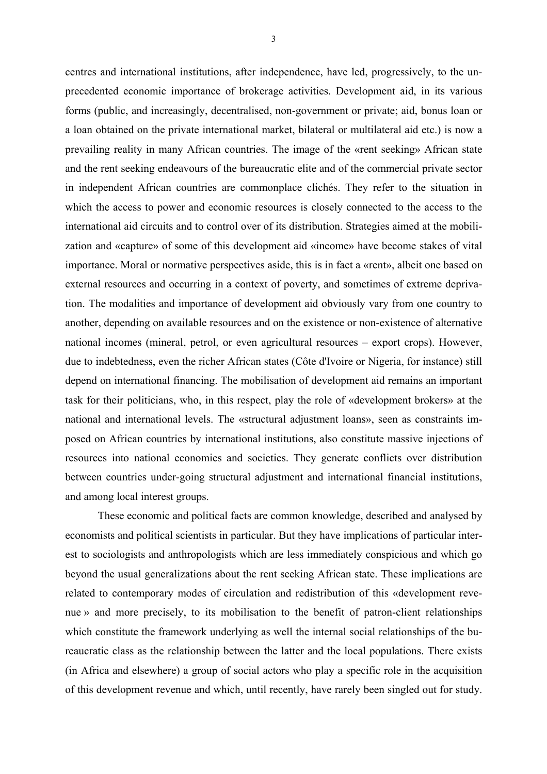centres and international institutions, after independence, have led, progressively, to the unprecedented economic importance of brokerage activities. Development aid, in its various forms (public, and increasingly, decentralised, non-government or private; aid, bonus loan or a loan obtained on the private international market, bilateral or multilateral aid etc.) is now a prevailing reality in many African countries. The image of the «rent seeking» African state and the rent seeking endeavours of the bureaucratic elite and of the commercial private sector in independent African countries are commonplace clichés. They refer to the situation in which the access to power and economic resources is closely connected to the access to the international aid circuits and to control over of its distribution. Strategies aimed at the mobilization and «capture» of some of this development aid «income» have become stakes of vital importance. Moral or normative perspectives aside, this is in fact a «rent», albeit one based on external resources and occurring in a context of poverty, and sometimes of extreme deprivation. The modalities and importance of development aid obviously vary from one country to another, depending on available resources and on the existence or non-existence of alternative national incomes (mineral, petrol, or even agricultural resources – export crops). However, due to indebtedness, even the richer African states (Côte d'Ivoire or Nigeria, for instance) still depend on international financing. The mobilisation of development aid remains an important task for their politicians, who, in this respect, play the role of «development brokers» at the national and international levels. The «structural adjustment loans», seen as constraints imposed on African countries by international institutions, also constitute massive injections of resources into national economies and societies. They generate conflicts over distribution between countries under-going structural adjustment and international financial institutions, and among local interest groups.

These economic and political facts are common knowledge, described and analysed by economists and political scientists in particular. But they have implications of particular interest to sociologists and anthropologists which are less immediately conspicious and which go beyond the usual generalizations about the rent seeking African state. These implications are related to contemporary modes of circulation and redistribution of this «development revenue » and more precisely, to its mobilisation to the benefit of patron-client relationships which constitute the framework underlying as well the internal social relationships of the bureaucratic class as the relationship between the latter and the local populations. There exists (in Africa and elsewhere) a group of social actors who play a specific role in the acquisition of this development revenue and which, until recently, have rarely been singled out for study.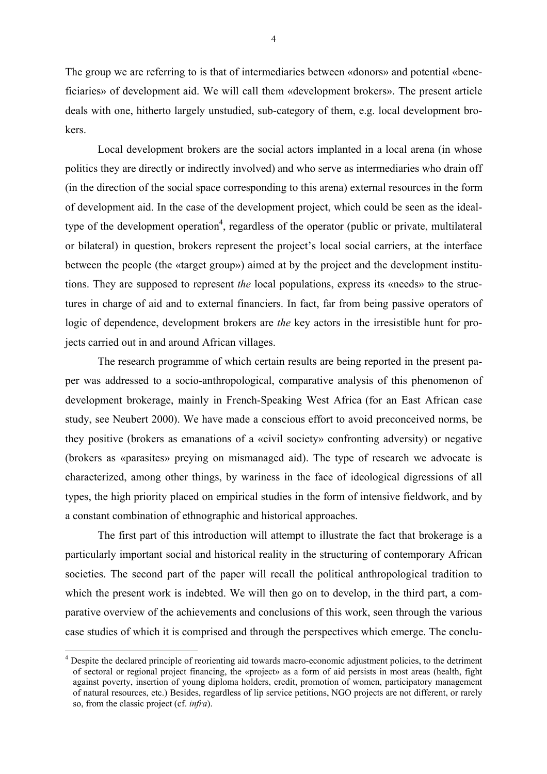The group we are referring to is that of intermediaries between «donors» and potential «beneficiaries» of development aid. We will call them «development brokers». The present article deals with one, hitherto largely unstudied, sub-category of them, e.g. local development brokers.

Local development brokers are the social actors implanted in a local arena (in whose politics they are directly or indirectly involved) and who serve as intermediaries who drain off (in the direction of the social space corresponding to this arena) external resources in the form of development aid. In the case of the development project, which could be seen as the idealtype of the development operation<sup>4</sup>, regardless of the operator (public or private, multilateral or bilateral) in question, brokers represent the project's local social carriers, at the interface between the people (the «target group») aimed at by the project and the development institutions. They are supposed to represent *the* local populations, express its «needs» to the structures in charge of aid and to external financiers. In fact, far from being passive operators of logic of dependence, development brokers are *the* key actors in the irresistible hunt for projects carried out in and around African villages.

The research programme of which certain results are being reported in the present paper was addressed to a socio-anthropological, comparative analysis of this phenomenon of development brokerage, mainly in French-Speaking West Africa (for an East African case study, see Neubert 2000). We have made a conscious effort to avoid preconceived norms, be they positive (brokers as emanations of a «civil society» confronting adversity) or negative (brokers as «parasites» preying on mismanaged aid). The type of research we advocate is characterized, among other things, by wariness in the face of ideological digressions of all types, the high priority placed on empirical studies in the form of intensive fieldwork, and by a constant combination of ethnographic and historical approaches.

The first part of this introduction will attempt to illustrate the fact that brokerage is a particularly important social and historical reality in the structuring of contemporary African societies. The second part of the paper will recall the political anthropological tradition to which the present work is indebted. We will then go on to develop, in the third part, a comparative overview of the achievements and conclusions of this work, seen through the various case studies of which it is comprised and through the perspectives which emerge. The conclu-

<sup>&</sup>lt;sup>4</sup> Despite the declared principle of reorienting aid towards macro-economic adjustment policies, to the detriment of sectoral or regional project financing, the «project» as a form of aid persists in most areas (health, fight against poverty, insertion of young diploma holders, credit, promotion of women, participatory management of natural resources, etc.) Besides, regardless of lip service petitions, NGO projects are not different, or rarely so, from the classic project (cf. *infra*).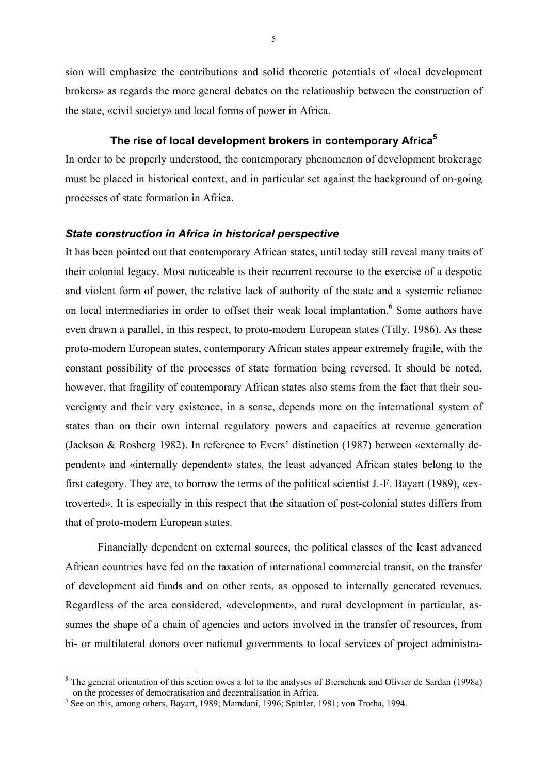sion will emphasize the contributions and solid theoretic potentials of «local development brokers» as regards the more general debates on the relationship between the construction of the state, «civil society» and local forms of power in Africa.

# **The rise of local development brokers in contemporary Africa5**

In order to be properly understood, the contemporary phenomenon of development brokerage must be placed in historical context, and in particular set against the background of on-going processes of state formation in Africa.

#### *State construction in Africa in historical perspective*

It has been pointed out that contemporary African states, until today still reveal many traits of their colonial legacy. Most noticeable is their recurrent recourse to the exercise of a despotic and violent form of power, the relative lack of authority of the state and a systemic reliance on local intermediaries in order to offset their weak local implantation.<sup>6</sup> Some authors have even drawn a parallel, in this respect, to proto-modern European states (Tilly, 1986). As these proto-modern European states, contemporary African states appear extremely fragile, with the constant possibility of the processes of state formation being reversed. It should be noted, however, that fragility of contemporary African states also stems from the fact that their souvereignty and their very existence, in a sense, depends more on the international system of states than on their own internal regulatory powers and capacities at revenue generation (Jackson & Rosberg 1982). In reference to Evers' distinction (1987) between «externally dependent» and «internally dependent» states, the least advanced African states belong to the first category. They are, to borrow the terms of the political scientist J.-F. Bayart (1989), «extroverted». It is especially in this respect that the situation of post-colonial states differs from that of proto-modern European states.

Financially dependent on external sources, the political classes of the least advanced African countries have fed on the taxation of international commercial transit, on the transfer of development aid funds and on other rents, as opposed to internally generated revenues. Regardless of the area considered, «development», and rural development in particular, assumes the shape of a chain of agencies and actors involved in the transfer of resources, from bi- or multilateral donors over national governments to local services of project administra-

 $<sup>5</sup>$  The general orientation of this section owes a lot to the analyses of Bierschenk and Olivier de Sardan (1998a)</sup> on the processes of democratisation and decentralisation in Africa.

<sup>&</sup>lt;sup>6</sup> See on this, among others, Bayart, 1989; Mamdani, 1996; Spittler, 1981; von Trotha, 1994.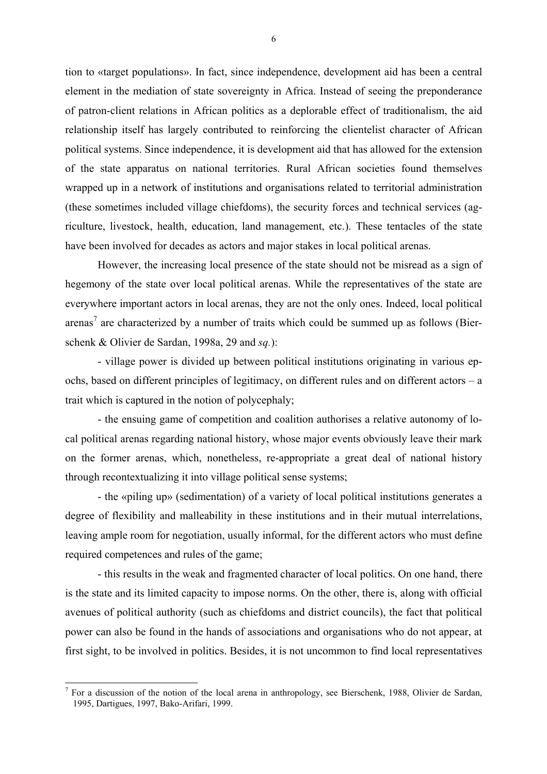tion to «target populations». In fact, since independence, development aid has been a central element in the mediation of state sovereignty in Africa. Instead of seeing the preponderance of patron-client relations in African politics as a deplorable effect of traditionalism, the aid relationship itself has largely contributed to reinforcing the clientelist character of African political systems. Since independence, it is development aid that has allowed for the extension of the state apparatus on national territories. Rural African societies found themselves wrapped up in a network of institutions and organisations related to territorial administration (these sometimes included village chiefdoms), the security forces and technical services (agriculture, livestock, health, education, land management, etc.). These tentacles of the state have been involved for decades as actors and major stakes in local political arenas.

However, the increasing local presence of the state should not be misread as a sign of hegemony of the state over local political arenas. While the representatives of the state are everywhere important actors in local arenas, they are not the only ones. Indeed, local political arenas<sup>7</sup> are characterized by a number of traits which could be summed up as follows (Bierschenk & Olivier de Sardan, 1998a, 29 and *sq.*):

- village power is divided up between political institutions originating in various epochs, based on different principles of legitimacy, on different rules and on different actors – a trait which is captured in the notion of polycephaly;

- the ensuing game of competition and coalition authorises a relative autonomy of local political arenas regarding national history, whose major events obviously leave their mark on the former arenas, which, nonetheless, re-appropriate a great deal of national history through recontextualizing it into village political sense systems;

- the «piling up» (sedimentation) of a variety of local political institutions generates a degree of flexibility and malleability in these institutions and in their mutual interrelations, leaving ample room for negotiation, usually informal, for the different actors who must define required competences and rules of the game;

- this results in the weak and fragmented character of local politics. On one hand, there is the state and its limited capacity to impose norms. On the other, there is, along with official avenues of political authority (such as chiefdoms and district councils), the fact that political power can also be found in the hands of associations and organisations who do not appear, at first sight, to be involved in politics. Besides, it is not uncommon to find local representatives

 $<sup>7</sup>$  For a discussion of the notion of the local arena in anthropology, see Bierschenk, 1988, Olivier de Sardan,</sup> 1995, Dartigues, 1997, Bako-Arifari, 1999.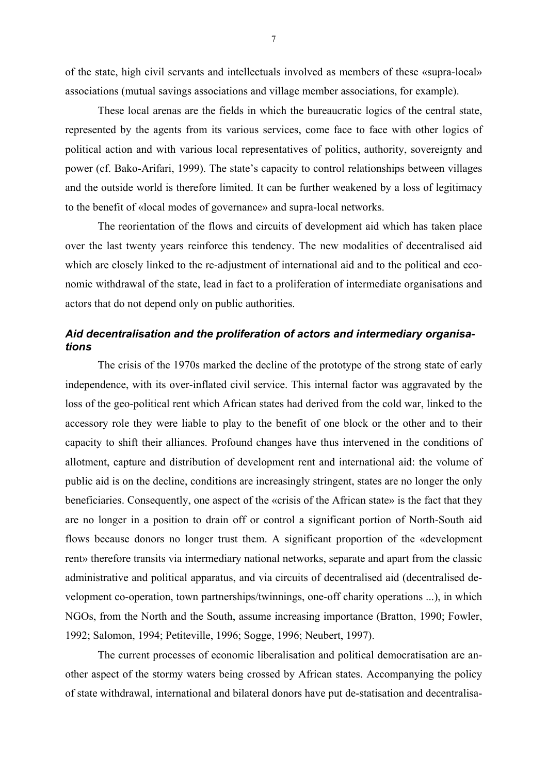of the state, high civil servants and intellectuals involved as members of these «supra-local» associations (mutual savings associations and village member associations, for example).

These local arenas are the fields in which the bureaucratic logics of the central state, represented by the agents from its various services, come face to face with other logics of political action and with various local representatives of politics, authority, sovereignty and power (cf. Bako-Arifari, 1999). The state's capacity to control relationships between villages and the outside world is therefore limited. It can be further weakened by a loss of legitimacy to the benefit of «local modes of governance» and supra-local networks.

The reorientation of the flows and circuits of development aid which has taken place over the last twenty years reinforce this tendency. The new modalities of decentralised aid which are closely linked to the re-adjustment of international aid and to the political and economic withdrawal of the state, lead in fact to a proliferation of intermediate organisations and actors that do not depend only on public authorities.

# *Aid decentralisation and the proliferation of actors and intermediary organisations*

The crisis of the 1970s marked the decline of the prototype of the strong state of early independence, with its over-inflated civil service. This internal factor was aggravated by the loss of the geo-political rent which African states had derived from the cold war, linked to the accessory role they were liable to play to the benefit of one block or the other and to their capacity to shift their alliances. Profound changes have thus intervened in the conditions of allotment, capture and distribution of development rent and international aid: the volume of public aid is on the decline, conditions are increasingly stringent, states are no longer the only beneficiaries. Consequently, one aspect of the «crisis of the African state» is the fact that they are no longer in a position to drain off or control a significant portion of North-South aid flows because donors no longer trust them. A significant proportion of the «development rent» therefore transits via intermediary national networks, separate and apart from the classic administrative and political apparatus, and via circuits of decentralised aid (decentralised development co-operation, town partnerships/twinnings, one-off charity operations ...), in which NGOs, from the North and the South, assume increasing importance (Bratton, 1990; Fowler, 1992; Salomon, 1994; Petiteville, 1996; Sogge, 1996; Neubert, 1997).

The current processes of economic liberalisation and political democratisation are another aspect of the stormy waters being crossed by African states. Accompanying the policy of state withdrawal, international and bilateral donors have put de-statisation and decentralisa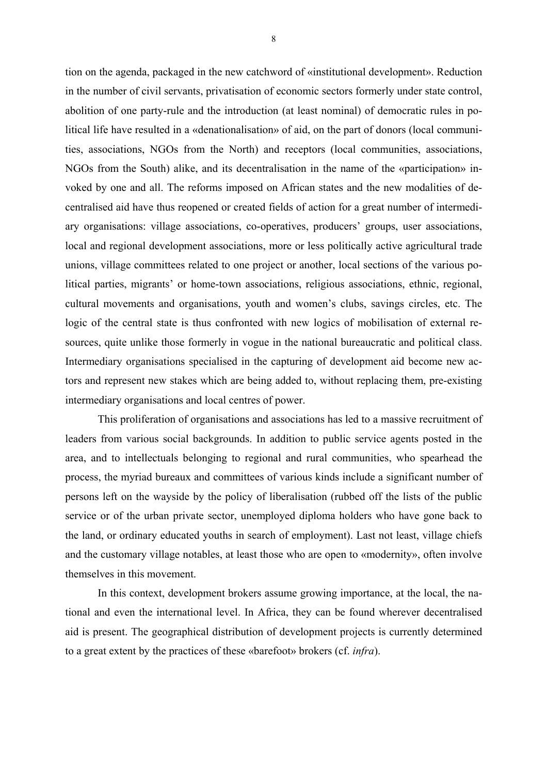tion on the agenda, packaged in the new catchword of «institutional development». Reduction in the number of civil servants, privatisation of economic sectors formerly under state control, abolition of one party-rule and the introduction (at least nominal) of democratic rules in political life have resulted in a «denationalisation» of aid, on the part of donors (local communities, associations, NGOs from the North) and receptors (local communities, associations, NGOs from the South) alike, and its decentralisation in the name of the «participation» invoked by one and all. The reforms imposed on African states and the new modalities of decentralised aid have thus reopened or created fields of action for a great number of intermediary organisations: village associations, co-operatives, producers' groups, user associations, local and regional development associations, more or less politically active agricultural trade unions, village committees related to one project or another, local sections of the various political parties, migrants' or home-town associations, religious associations, ethnic, regional, cultural movements and organisations, youth and women's clubs, savings circles, etc. The logic of the central state is thus confronted with new logics of mobilisation of external resources, quite unlike those formerly in vogue in the national bureaucratic and political class. Intermediary organisations specialised in the capturing of development aid become new actors and represent new stakes which are being added to, without replacing them, pre-existing intermediary organisations and local centres of power.

This proliferation of organisations and associations has led to a massive recruitment of leaders from various social backgrounds. In addition to public service agents posted in the area, and to intellectuals belonging to regional and rural communities, who spearhead the process, the myriad bureaux and committees of various kinds include a significant number of persons left on the wayside by the policy of liberalisation (rubbed off the lists of the public service or of the urban private sector, unemployed diploma holders who have gone back to the land, or ordinary educated youths in search of employment). Last not least, village chiefs and the customary village notables, at least those who are open to «modernity», often involve themselves in this movement.

In this context, development brokers assume growing importance, at the local, the national and even the international level. In Africa, they can be found wherever decentralised aid is present. The geographical distribution of development projects is currently determined to a great extent by the practices of these «barefoot» brokers (cf. *infra*).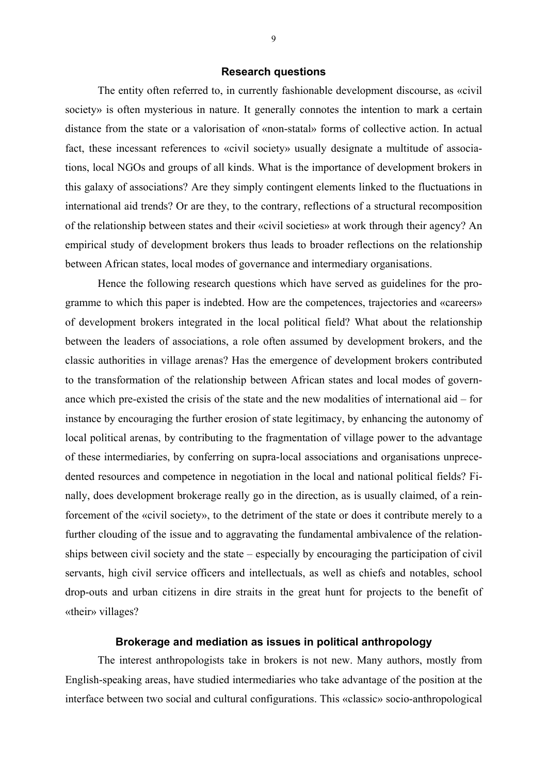#### **Research questions**

The entity often referred to, in currently fashionable development discourse, as «civil society» is often mysterious in nature. It generally connotes the intention to mark a certain distance from the state or a valorisation of «non-statal» forms of collective action. In actual fact, these incessant references to «civil society» usually designate a multitude of associations, local NGOs and groups of all kinds. What is the importance of development brokers in this galaxy of associations? Are they simply contingent elements linked to the fluctuations in international aid trends? Or are they, to the contrary, reflections of a structural recomposition of the relationship between states and their «civil societies» at work through their agency? An empirical study of development brokers thus leads to broader reflections on the relationship between African states, local modes of governance and intermediary organisations.

Hence the following research questions which have served as guidelines for the programme to which this paper is indebted. How are the competences, trajectories and «careers» of development brokers integrated in the local political field? What about the relationship between the leaders of associations, a role often assumed by development brokers, and the classic authorities in village arenas? Has the emergence of development brokers contributed to the transformation of the relationship between African states and local modes of governance which pre-existed the crisis of the state and the new modalities of international aid – for instance by encouraging the further erosion of state legitimacy, by enhancing the autonomy of local political arenas, by contributing to the fragmentation of village power to the advantage of these intermediaries, by conferring on supra-local associations and organisations unprecedented resources and competence in negotiation in the local and national political fields? Finally, does development brokerage really go in the direction, as is usually claimed, of a reinforcement of the «civil society», to the detriment of the state or does it contribute merely to a further clouding of the issue and to aggravating the fundamental ambivalence of the relationships between civil society and the state – especially by encouraging the participation of civil servants, high civil service officers and intellectuals, as well as chiefs and notables, school drop-outs and urban citizens in dire straits in the great hunt for projects to the benefit of «their» villages?

# **Brokerage and mediation as issues in political anthropology**

The interest anthropologists take in brokers is not new. Many authors, mostly from English-speaking areas, have studied intermediaries who take advantage of the position at the interface between two social and cultural configurations. This «classic» socio-anthropological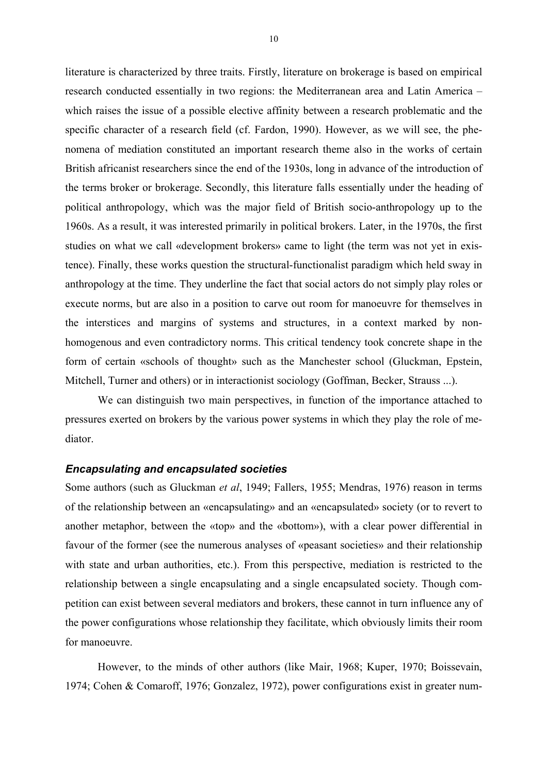literature is characterized by three traits. Firstly, literature on brokerage is based on empirical research conducted essentially in two regions: the Mediterranean area and Latin America – which raises the issue of a possible elective affinity between a research problematic and the specific character of a research field (cf. Fardon, 1990). However, as we will see, the phenomena of mediation constituted an important research theme also in the works of certain British africanist researchers since the end of the 1930s, long in advance of the introduction of the terms broker or brokerage. Secondly, this literature falls essentially under the heading of political anthropology, which was the major field of British socio-anthropology up to the 1960s. As a result, it was interested primarily in political brokers. Later, in the 1970s, the first studies on what we call «development brokers» came to light (the term was not yet in existence). Finally, these works question the structural-functionalist paradigm which held sway in anthropology at the time. They underline the fact that social actors do not simply play roles or execute norms, but are also in a position to carve out room for manoeuvre for themselves in the interstices and margins of systems and structures, in a context marked by nonhomogenous and even contradictory norms. This critical tendency took concrete shape in the form of certain «schools of thought» such as the Manchester school (Gluckman, Epstein, Mitchell, Turner and others) or in interactionist sociology (Goffman, Becker, Strauss ...).

We can distinguish two main perspectives, in function of the importance attached to pressures exerted on brokers by the various power systems in which they play the role of mediator.

#### *Encapsulating and encapsulated societies*

Some authors (such as Gluckman *et al*, 1949; Fallers, 1955; Mendras, 1976) reason in terms of the relationship between an «encapsulating» and an «encapsulated» society (or to revert to another metaphor, between the «top» and the «bottom»), with a clear power differential in favour of the former (see the numerous analyses of «peasant societies» and their relationship with state and urban authorities, etc.). From this perspective, mediation is restricted to the relationship between a single encapsulating and a single encapsulated society. Though competition can exist between several mediators and brokers, these cannot in turn influence any of the power configurations whose relationship they facilitate, which obviously limits their room for manoeuvre.

However, to the minds of other authors (like Mair, 1968; Kuper, 1970; Boissevain, 1974; Cohen & Comaroff, 1976; Gonzalez, 1972), power configurations exist in greater num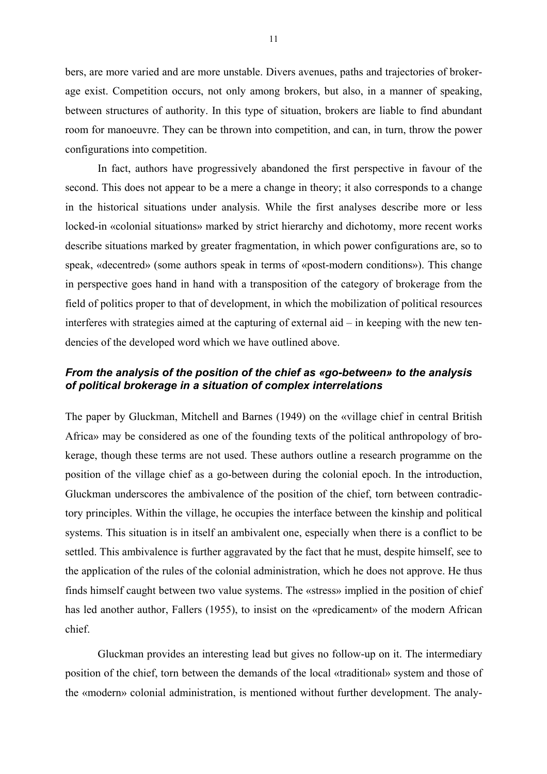bers, are more varied and are more unstable. Divers avenues, paths and trajectories of brokerage exist. Competition occurs, not only among brokers, but also, in a manner of speaking, between structures of authority. In this type of situation, brokers are liable to find abundant room for manoeuvre. They can be thrown into competition, and can, in turn, throw the power configurations into competition.

In fact, authors have progressively abandoned the first perspective in favour of the second. This does not appear to be a mere a change in theory; it also corresponds to a change in the historical situations under analysis. While the first analyses describe more or less locked-in «colonial situations» marked by strict hierarchy and dichotomy, more recent works describe situations marked by greater fragmentation, in which power configurations are, so to speak, «decentred» (some authors speak in terms of «post-modern conditions»). This change in perspective goes hand in hand with a transposition of the category of brokerage from the field of politics proper to that of development, in which the mobilization of political resources interferes with strategies aimed at the capturing of external aid – in keeping with the new tendencies of the developed word which we have outlined above.

# *From the analysis of the position of the chief as «go-between» to the analysis of political brokerage in a situation of complex interrelations*

The paper by Gluckman, Mitchell and Barnes (1949) on the «village chief in central British Africa» may be considered as one of the founding texts of the political anthropology of brokerage, though these terms are not used. These authors outline a research programme on the position of the village chief as a go-between during the colonial epoch. In the introduction, Gluckman underscores the ambivalence of the position of the chief, torn between contradictory principles. Within the village, he occupies the interface between the kinship and political systems. This situation is in itself an ambivalent one, especially when there is a conflict to be settled. This ambivalence is further aggravated by the fact that he must, despite himself, see to the application of the rules of the colonial administration, which he does not approve. He thus finds himself caught between two value systems. The «stress» implied in the position of chief has led another author, Fallers (1955), to insist on the «predicament» of the modern African chief.

Gluckman provides an interesting lead but gives no follow-up on it. The intermediary position of the chief, torn between the demands of the local «traditional» system and those of the «modern» colonial administration, is mentioned without further development. The analy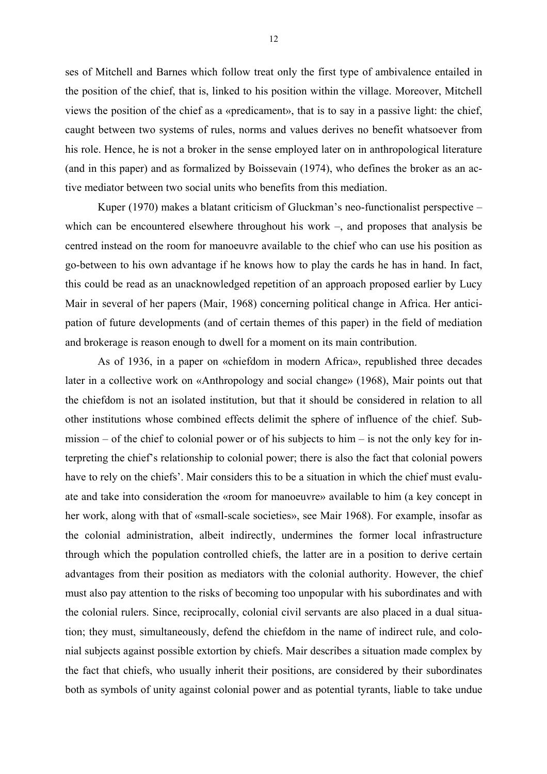ses of Mitchell and Barnes which follow treat only the first type of ambivalence entailed in the position of the chief, that is, linked to his position within the village. Moreover, Mitchell views the position of the chief as a «predicament», that is to say in a passive light: the chief, caught between two systems of rules, norms and values derives no benefit whatsoever from his role. Hence, he is not a broker in the sense employed later on in anthropological literature (and in this paper) and as formalized by Boissevain (1974), who defines the broker as an active mediator between two social units who benefits from this mediation.

Kuper (1970) makes a blatant criticism of Gluckman's neo-functionalist perspective – which can be encountered elsewhere throughout his work –, and proposes that analysis be centred instead on the room for manoeuvre available to the chief who can use his position as go-between to his own advantage if he knows how to play the cards he has in hand. In fact, this could be read as an unacknowledged repetition of an approach proposed earlier by Lucy Mair in several of her papers (Mair, 1968) concerning political change in Africa. Her anticipation of future developments (and of certain themes of this paper) in the field of mediation and brokerage is reason enough to dwell for a moment on its main contribution.

As of 1936, in a paper on «chiefdom in modern Africa», republished three decades later in a collective work on «Anthropology and social change» (1968), Mair points out that the chiefdom is not an isolated institution, but that it should be considered in relation to all other institutions whose combined effects delimit the sphere of influence of the chief. Submission – of the chief to colonial power or of his subjects to him – is not the only key for interpreting the chief's relationship to colonial power; there is also the fact that colonial powers have to rely on the chiefs'. Mair considers this to be a situation in which the chief must evaluate and take into consideration the «room for manoeuvre» available to him (a key concept in her work, along with that of «small-scale societies», see Mair 1968). For example, insofar as the colonial administration, albeit indirectly, undermines the former local infrastructure through which the population controlled chiefs, the latter are in a position to derive certain advantages from their position as mediators with the colonial authority. However, the chief must also pay attention to the risks of becoming too unpopular with his subordinates and with the colonial rulers. Since, reciprocally, colonial civil servants are also placed in a dual situation; they must, simultaneously, defend the chiefdom in the name of indirect rule, and colonial subjects against possible extortion by chiefs. Mair describes a situation made complex by the fact that chiefs, who usually inherit their positions, are considered by their subordinates both as symbols of unity against colonial power and as potential tyrants, liable to take undue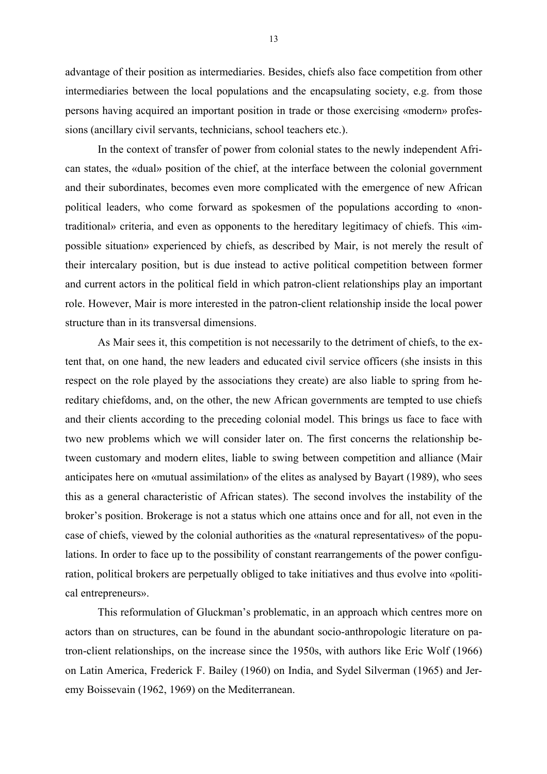advantage of their position as intermediaries. Besides, chiefs also face competition from other intermediaries between the local populations and the encapsulating society, e.g. from those persons having acquired an important position in trade or those exercising «modern» professions (ancillary civil servants, technicians, school teachers etc.).

In the context of transfer of power from colonial states to the newly independent African states, the «dual» position of the chief, at the interface between the colonial government and their subordinates, becomes even more complicated with the emergence of new African political leaders, who come forward as spokesmen of the populations according to «nontraditional» criteria, and even as opponents to the hereditary legitimacy of chiefs. This «impossible situation» experienced by chiefs, as described by Mair, is not merely the result of their intercalary position, but is due instead to active political competition between former and current actors in the political field in which patron-client relationships play an important role. However, Mair is more interested in the patron-client relationship inside the local power structure than in its transversal dimensions.

As Mair sees it, this competition is not necessarily to the detriment of chiefs, to the extent that, on one hand, the new leaders and educated civil service officers (she insists in this respect on the role played by the associations they create) are also liable to spring from hereditary chiefdoms, and, on the other, the new African governments are tempted to use chiefs and their clients according to the preceding colonial model. This brings us face to face with two new problems which we will consider later on. The first concerns the relationship between customary and modern elites, liable to swing between competition and alliance (Mair anticipates here on «mutual assimilation» of the elites as analysed by Bayart (1989), who sees this as a general characteristic of African states). The second involves the instability of the broker's position. Brokerage is not a status which one attains once and for all, not even in the case of chiefs, viewed by the colonial authorities as the «natural representatives» of the populations. In order to face up to the possibility of constant rearrangements of the power configuration, political brokers are perpetually obliged to take initiatives and thus evolve into «political entrepreneurs».

This reformulation of Gluckman's problematic, in an approach which centres more on actors than on structures, can be found in the abundant socio-anthropologic literature on patron-client relationships, on the increase since the 1950s, with authors like Eric Wolf (1966) on Latin America, Frederick F. Bailey (1960) on India, and Sydel Silverman (1965) and Jeremy Boissevain (1962, 1969) on the Mediterranean.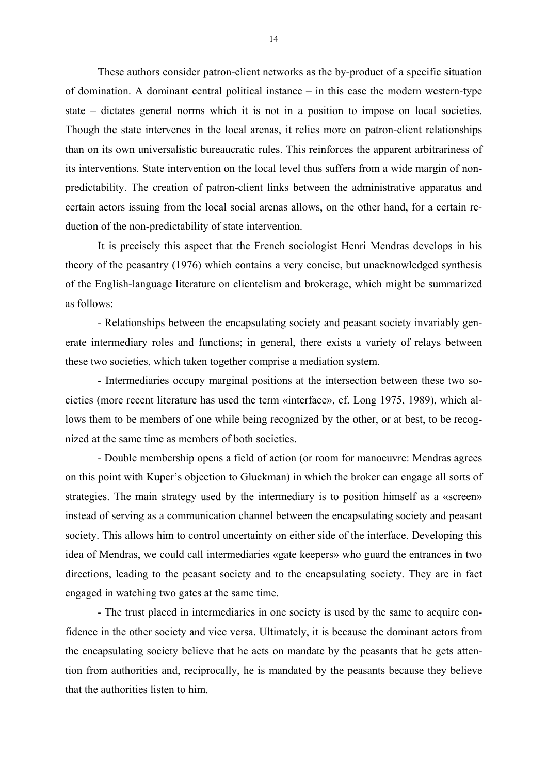These authors consider patron-client networks as the by-product of a specific situation of domination. A dominant central political instance – in this case the modern western-type state – dictates general norms which it is not in a position to impose on local societies. Though the state intervenes in the local arenas, it relies more on patron-client relationships than on its own universalistic bureaucratic rules. This reinforces the apparent arbitrariness of its interventions. State intervention on the local level thus suffers from a wide margin of nonpredictability. The creation of patron-client links between the administrative apparatus and certain actors issuing from the local social arenas allows, on the other hand, for a certain reduction of the non-predictability of state intervention.

It is precisely this aspect that the French sociologist Henri Mendras develops in his theory of the peasantry (1976) which contains a very concise, but unacknowledged synthesis of the English-language literature on clientelism and brokerage, which might be summarized as follows:

- Relationships between the encapsulating society and peasant society invariably generate intermediary roles and functions; in general, there exists a variety of relays between these two societies, which taken together comprise a mediation system.

- Intermediaries occupy marginal positions at the intersection between these two societies (more recent literature has used the term «interface», cf. Long 1975, 1989), which allows them to be members of one while being recognized by the other, or at best, to be recognized at the same time as members of both societies.

- Double membership opens a field of action (or room for manoeuvre: Mendras agrees on this point with Kuper's objection to Gluckman) in which the broker can engage all sorts of strategies. The main strategy used by the intermediary is to position himself as a «screen» instead of serving as a communication channel between the encapsulating society and peasant society. This allows him to control uncertainty on either side of the interface. Developing this idea of Mendras, we could call intermediaries «gate keepers» who guard the entrances in two directions, leading to the peasant society and to the encapsulating society. They are in fact engaged in watching two gates at the same time.

- The trust placed in intermediaries in one society is used by the same to acquire confidence in the other society and vice versa. Ultimately, it is because the dominant actors from the encapsulating society believe that he acts on mandate by the peasants that he gets attention from authorities and, reciprocally, he is mandated by the peasants because they believe that the authorities listen to him.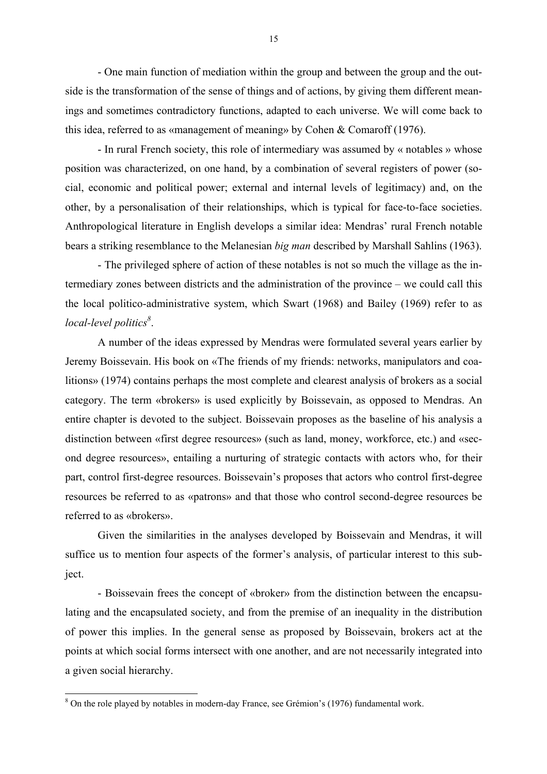- One main function of mediation within the group and between the group and the outside is the transformation of the sense of things and of actions, by giving them different meanings and sometimes contradictory functions, adapted to each universe. We will come back to this idea, referred to as «management of meaning» by Cohen & Comaroff (1976).

- In rural French society, this role of intermediary was assumed by « notables » whose position was characterized, on one hand, by a combination of several registers of power (social, economic and political power; external and internal levels of legitimacy) and, on the other, by a personalisation of their relationships, which is typical for face-to-face societies. Anthropological literature in English develops a similar idea: Mendras' rural French notable bears a striking resemblance to the Melanesian *big man* described by Marshall Sahlins (1963).

- The privileged sphere of action of these notables is not so much the village as the intermediary zones between districts and the administration of the province – we could call this the local politico-administrative system, which Swart (1968) and Bailey (1969) refer to as *local-level politics<sup>8</sup>* .

A number of the ideas expressed by Mendras were formulated several years earlier by Jeremy Boissevain. His book on «The friends of my friends: networks, manipulators and coalitions» (1974) contains perhaps the most complete and clearest analysis of brokers as a social category. The term «brokers» is used explicitly by Boissevain, as opposed to Mendras. An entire chapter is devoted to the subject. Boissevain proposes as the baseline of his analysis a distinction between «first degree resources» (such as land, money, workforce, etc.) and «second degree resources», entailing a nurturing of strategic contacts with actors who, for their part, control first-degree resources. Boissevain's proposes that actors who control first-degree resources be referred to as «patrons» and that those who control second-degree resources be referred to as «brokers».

Given the similarities in the analyses developed by Boissevain and Mendras, it will suffice us to mention four aspects of the former's analysis, of particular interest to this subject.

- Boissevain frees the concept of «broker» from the distinction between the encapsulating and the encapsulated society, and from the premise of an inequality in the distribution of power this implies. In the general sense as proposed by Boissevain, brokers act at the points at which social forms intersect with one another, and are not necessarily integrated into a given social hierarchy.

<sup>&</sup>lt;sup>8</sup> On the role played by notables in modern-day France, see Grémion's (1976) fundamental work.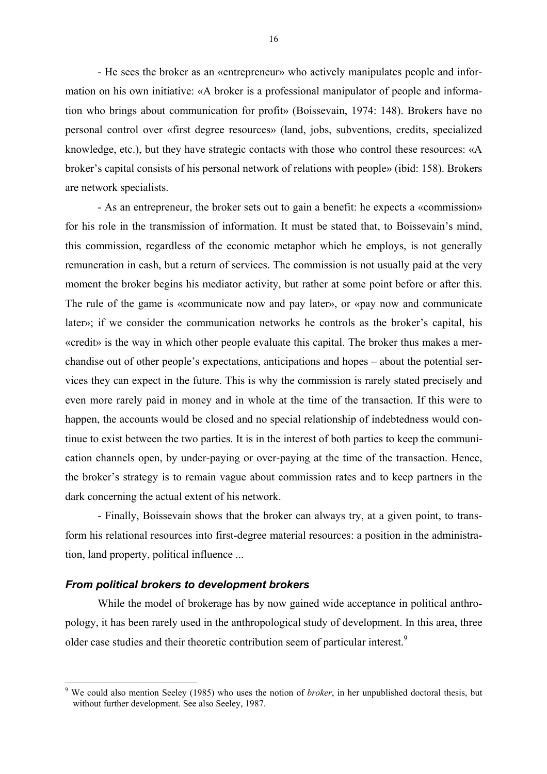- He sees the broker as an «entrepreneur» who actively manipulates people and information on his own initiative: «A broker is a professional manipulator of people and information who brings about communication for profit» (Boissevain, 1974: 148). Brokers have no personal control over «first degree resources» (land, jobs, subventions, credits, specialized knowledge, etc.), but they have strategic contacts with those who control these resources: «A broker's capital consists of his personal network of relations with people» (ibid: 158). Brokers are network specialists.

- As an entrepreneur, the broker sets out to gain a benefit: he expects a «commission» for his role in the transmission of information. It must be stated that, to Boissevain's mind, this commission, regardless of the economic metaphor which he employs, is not generally remuneration in cash, but a return of services. The commission is not usually paid at the very moment the broker begins his mediator activity, but rather at some point before or after this. The rule of the game is «communicate now and pay later», or «pay now and communicate later»; if we consider the communication networks he controls as the broker's capital, his «credit» is the way in which other people evaluate this capital. The broker thus makes a merchandise out of other people's expectations, anticipations and hopes – about the potential services they can expect in the future. This is why the commission is rarely stated precisely and even more rarely paid in money and in whole at the time of the transaction. If this were to happen, the accounts would be closed and no special relationship of indebtedness would continue to exist between the two parties. It is in the interest of both parties to keep the communication channels open, by under-paying or over-paying at the time of the transaction. Hence, the broker's strategy is to remain vague about commission rates and to keep partners in the dark concerning the actual extent of his network.

- Finally, Boissevain shows that the broker can always try, at a given point, to transform his relational resources into first-degree material resources: a position in the administration, land property, political influence ...

#### *From political brokers to development brokers*

 $\overline{a}$ 

While the model of brokerage has by now gained wide acceptance in political anthropology, it has been rarely used in the anthropological study of development. In this area, three older case studies and their theoretic contribution seem of particular interest.<sup>9</sup>

<sup>9</sup> We could also mention Seeley (1985) who uses the notion of *broker*, in her unpublished doctoral thesis, but without further development. See also Seeley, 1987.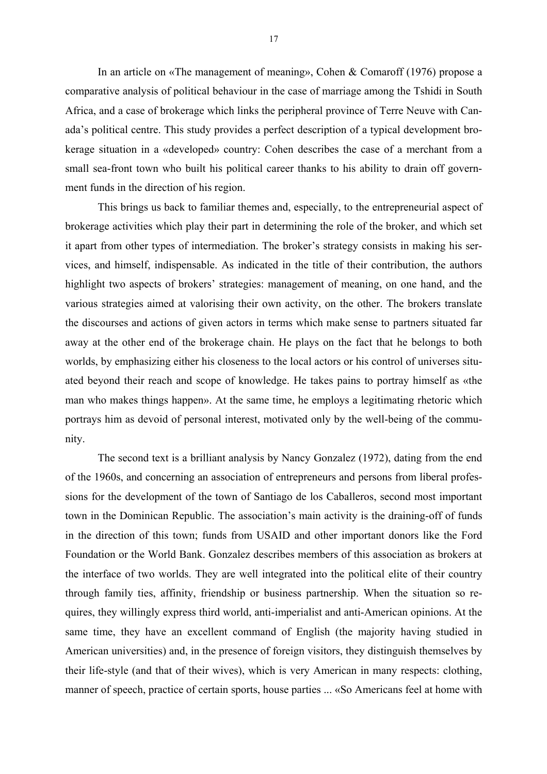In an article on «The management of meaning», Cohen & Comaroff (1976) propose a comparative analysis of political behaviour in the case of marriage among the Tshidi in South Africa, and a case of brokerage which links the peripheral province of Terre Neuve with Canada's political centre. This study provides a perfect description of a typical development brokerage situation in a «developed» country: Cohen describes the case of a merchant from a small sea-front town who built his political career thanks to his ability to drain off government funds in the direction of his region.

This brings us back to familiar themes and, especially, to the entrepreneurial aspect of brokerage activities which play their part in determining the role of the broker, and which set it apart from other types of intermediation. The broker's strategy consists in making his services, and himself, indispensable. As indicated in the title of their contribution, the authors highlight two aspects of brokers' strategies: management of meaning, on one hand, and the various strategies aimed at valorising their own activity, on the other. The brokers translate the discourses and actions of given actors in terms which make sense to partners situated far away at the other end of the brokerage chain. He plays on the fact that he belongs to both worlds, by emphasizing either his closeness to the local actors or his control of universes situated beyond their reach and scope of knowledge. He takes pains to portray himself as «the man who makes things happen». At the same time, he employs a legitimating rhetoric which portrays him as devoid of personal interest, motivated only by the well-being of the community.

The second text is a brilliant analysis by Nancy Gonzalez (1972), dating from the end of the 1960s, and concerning an association of entrepreneurs and persons from liberal professions for the development of the town of Santiago de los Caballeros, second most important town in the Dominican Republic. The association's main activity is the draining-off of funds in the direction of this town; funds from USAID and other important donors like the Ford Foundation or the World Bank. Gonzalez describes members of this association as brokers at the interface of two worlds. They are well integrated into the political elite of their country through family ties, affinity, friendship or business partnership. When the situation so requires, they willingly express third world, anti-imperialist and anti-American opinions. At the same time, they have an excellent command of English (the majority having studied in American universities) and, in the presence of foreign visitors, they distinguish themselves by their life-style (and that of their wives), which is very American in many respects: clothing, manner of speech, practice of certain sports, house parties ... «So Americans feel at home with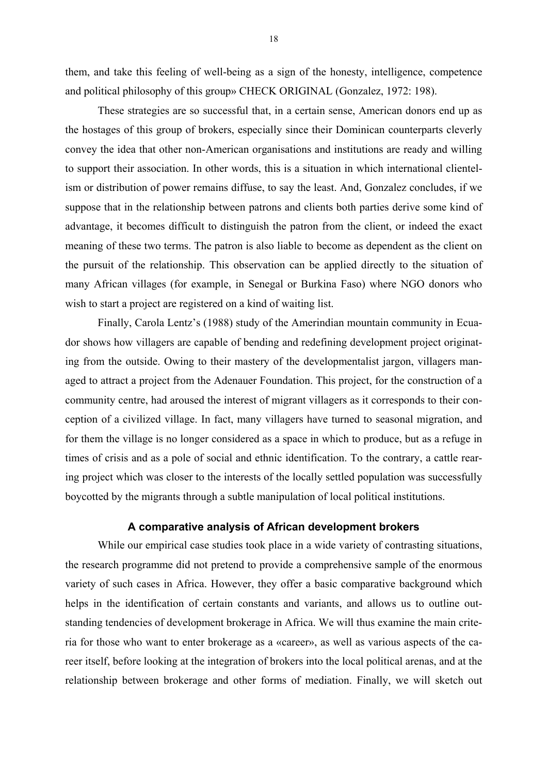them, and take this feeling of well-being as a sign of the honesty, intelligence, competence and political philosophy of this group» CHECK ORIGINAL (Gonzalez, 1972: 198).

These strategies are so successful that, in a certain sense, American donors end up as the hostages of this group of brokers, especially since their Dominican counterparts cleverly convey the idea that other non-American organisations and institutions are ready and willing to support their association. In other words, this is a situation in which international clientelism or distribution of power remains diffuse, to say the least. And, Gonzalez concludes, if we suppose that in the relationship between patrons and clients both parties derive some kind of advantage, it becomes difficult to distinguish the patron from the client, or indeed the exact meaning of these two terms. The patron is also liable to become as dependent as the client on the pursuit of the relationship. This observation can be applied directly to the situation of many African villages (for example, in Senegal or Burkina Faso) where NGO donors who wish to start a project are registered on a kind of waiting list.

Finally, Carola Lentz's (1988) study of the Amerindian mountain community in Ecuador shows how villagers are capable of bending and redefining development project originating from the outside. Owing to their mastery of the developmentalist jargon, villagers managed to attract a project from the Adenauer Foundation. This project, for the construction of a community centre, had aroused the interest of migrant villagers as it corresponds to their conception of a civilized village. In fact, many villagers have turned to seasonal migration, and for them the village is no longer considered as a space in which to produce, but as a refuge in times of crisis and as a pole of social and ethnic identification. To the contrary, a cattle rearing project which was closer to the interests of the locally settled population was successfully boycotted by the migrants through a subtle manipulation of local political institutions.

#### **A comparative analysis of African development brokers**

While our empirical case studies took place in a wide variety of contrasting situations, the research programme did not pretend to provide a comprehensive sample of the enormous variety of such cases in Africa. However, they offer a basic comparative background which helps in the identification of certain constants and variants, and allows us to outline outstanding tendencies of development brokerage in Africa. We will thus examine the main criteria for those who want to enter brokerage as a «career», as well as various aspects of the career itself, before looking at the integration of brokers into the local political arenas, and at the relationship between brokerage and other forms of mediation. Finally, we will sketch out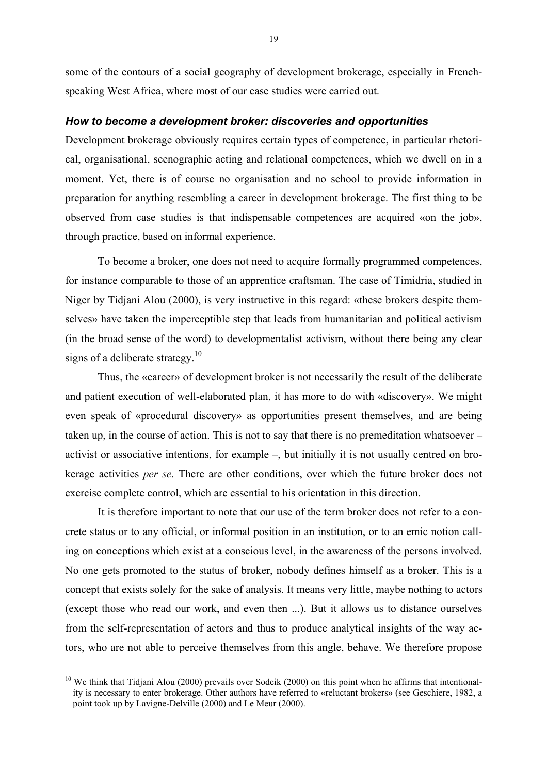some of the contours of a social geography of development brokerage, especially in Frenchspeaking West Africa, where most of our case studies were carried out.

#### *How to become a development broker: discoveries and opportunities*

Development brokerage obviously requires certain types of competence, in particular rhetorical, organisational, scenographic acting and relational competences, which we dwell on in a moment. Yet, there is of course no organisation and no school to provide information in preparation for anything resembling a career in development brokerage. The first thing to be observed from case studies is that indispensable competences are acquired «on the job», through practice, based on informal experience.

To become a broker, one does not need to acquire formally programmed competences, for instance comparable to those of an apprentice craftsman. The case of Timidria, studied in Niger by Tidjani Alou (2000), is very instructive in this regard: «these brokers despite themselves» have taken the imperceptible step that leads from humanitarian and political activism (in the broad sense of the word) to developmentalist activism, without there being any clear signs of a deliberate strategy.<sup>10</sup>

Thus, the «career» of development broker is not necessarily the result of the deliberate and patient execution of well-elaborated plan, it has more to do with «discovery». We might even speak of «procedural discovery» as opportunities present themselves, and are being taken up, in the course of action. This is not to say that there is no premeditation whatsoever – activist or associative intentions, for example –, but initially it is not usually centred on brokerage activities *per se*. There are other conditions, over which the future broker does not exercise complete control, which are essential to his orientation in this direction.

It is therefore important to note that our use of the term broker does not refer to a concrete status or to any official, or informal position in an institution, or to an emic notion calling on conceptions which exist at a conscious level, in the awareness of the persons involved. No one gets promoted to the status of broker, nobody defines himself as a broker. This is a concept that exists solely for the sake of analysis. It means very little, maybe nothing to actors (except those who read our work, and even then ...). But it allows us to distance ourselves from the self-representation of actors and thus to produce analytical insights of the way actors, who are not able to perceive themselves from this angle, behave. We therefore propose

<sup>&</sup>lt;sup>10</sup> We think that Tidjani Alou (2000) prevails over Sodeik (2000) on this point when he affirms that intentionality is necessary to enter brokerage. Other authors have referred to «reluctant brokers» (see Geschiere, 1982, a point took up by Lavigne-Delville (2000) and Le Meur (2000).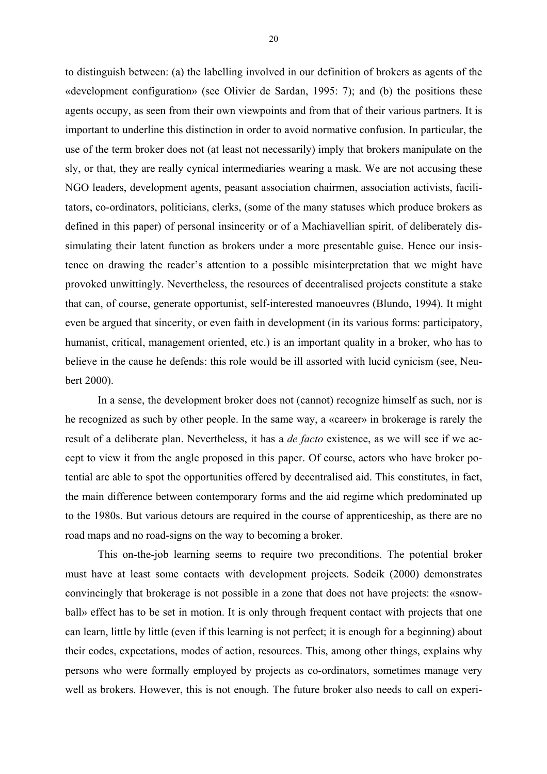to distinguish between: (a) the labelling involved in our definition of brokers as agents of the «development configuration» (see Olivier de Sardan, 1995: 7); and (b) the positions these agents occupy, as seen from their own viewpoints and from that of their various partners. It is important to underline this distinction in order to avoid normative confusion. In particular, the use of the term broker does not (at least not necessarily) imply that brokers manipulate on the sly, or that, they are really cynical intermediaries wearing a mask. We are not accusing these NGO leaders, development agents, peasant association chairmen, association activists, facilitators, co-ordinators, politicians, clerks, (some of the many statuses which produce brokers as defined in this paper) of personal insincerity or of a Machiavellian spirit, of deliberately dissimulating their latent function as brokers under a more presentable guise. Hence our insistence on drawing the reader's attention to a possible misinterpretation that we might have provoked unwittingly. Nevertheless, the resources of decentralised projects constitute a stake that can, of course, generate opportunist, self-interested manoeuvres (Blundo, 1994). It might even be argued that sincerity, or even faith in development (in its various forms: participatory, humanist, critical, management oriented, etc.) is an important quality in a broker, who has to believe in the cause he defends: this role would be ill assorted with lucid cynicism (see, Neubert 2000).

In a sense, the development broker does not (cannot) recognize himself as such, nor is he recognized as such by other people. In the same way, a «career» in brokerage is rarely the result of a deliberate plan. Nevertheless, it has a *de facto* existence, as we will see if we accept to view it from the angle proposed in this paper. Of course, actors who have broker potential are able to spot the opportunities offered by decentralised aid. This constitutes, in fact, the main difference between contemporary forms and the aid regime which predominated up to the 1980s. But various detours are required in the course of apprenticeship, as there are no road maps and no road-signs on the way to becoming a broker.

This on-the-job learning seems to require two preconditions. The potential broker must have at least some contacts with development projects. Sodeik (2000) demonstrates convincingly that brokerage is not possible in a zone that does not have projects: the «snowball» effect has to be set in motion. It is only through frequent contact with projects that one can learn, little by little (even if this learning is not perfect; it is enough for a beginning) about their codes, expectations, modes of action, resources. This, among other things, explains why persons who were formally employed by projects as co-ordinators, sometimes manage very well as brokers. However, this is not enough. The future broker also needs to call on experi-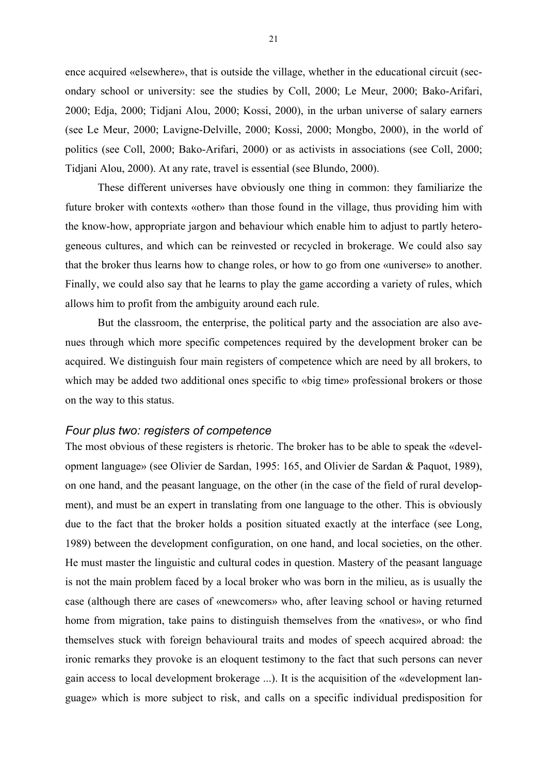ence acquired «elsewhere», that is outside the village, whether in the educational circuit (secondary school or university: see the studies by Coll, 2000; Le Meur, 2000; Bako-Arifari, 2000; Edja, 2000; Tidjani Alou, 2000; Kossi, 2000), in the urban universe of salary earners (see Le Meur, 2000; Lavigne-Delville, 2000; Kossi, 2000; Mongbo, 2000), in the world of politics (see Coll, 2000; Bako-Arifari, 2000) or as activists in associations (see Coll, 2000; Tidjani Alou, 2000). At any rate, travel is essential (see Blundo, 2000).

These different universes have obviously one thing in common: they familiarize the future broker with contexts «other» than those found in the village, thus providing him with the know-how, appropriate jargon and behaviour which enable him to adjust to partly heterogeneous cultures, and which can be reinvested or recycled in brokerage. We could also say that the broker thus learns how to change roles, or how to go from one «universe» to another. Finally, we could also say that he learns to play the game according a variety of rules, which allows him to profit from the ambiguity around each rule.

But the classroom, the enterprise, the political party and the association are also avenues through which more specific competences required by the development broker can be acquired. We distinguish four main registers of competence which are need by all brokers, to which may be added two additional ones specific to «big time» professional brokers or those on the way to this status.

#### *Four plus two: registers of competence*

The most obvious of these registers is rhetoric. The broker has to be able to speak the «development language» (see Olivier de Sardan, 1995: 165, and Olivier de Sardan & Paquot, 1989), on one hand, and the peasant language, on the other (in the case of the field of rural development), and must be an expert in translating from one language to the other. This is obviously due to the fact that the broker holds a position situated exactly at the interface (see Long, 1989) between the development configuration, on one hand, and local societies, on the other. He must master the linguistic and cultural codes in question. Mastery of the peasant language is not the main problem faced by a local broker who was born in the milieu, as is usually the case (although there are cases of «newcomers» who, after leaving school or having returned home from migration, take pains to distinguish themselves from the «natives», or who find themselves stuck with foreign behavioural traits and modes of speech acquired abroad: the ironic remarks they provoke is an eloquent testimony to the fact that such persons can never gain access to local development brokerage ...). It is the acquisition of the «development language» which is more subject to risk, and calls on a specific individual predisposition for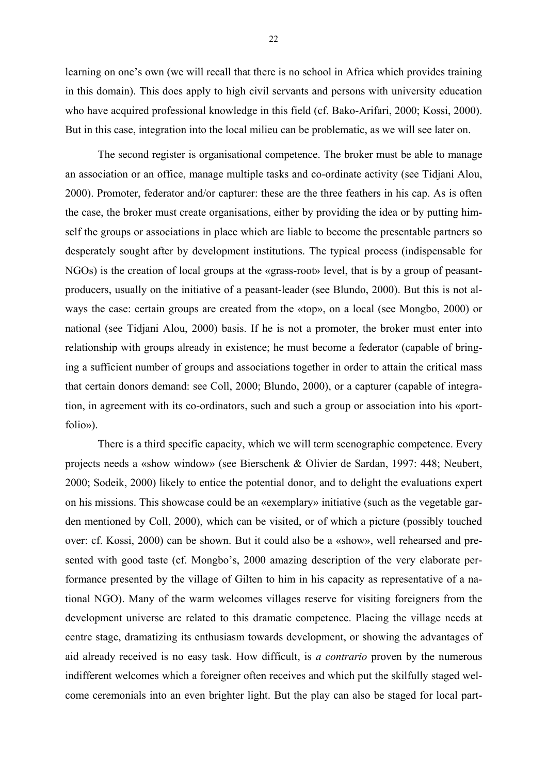learning on one's own (we will recall that there is no school in Africa which provides training in this domain). This does apply to high civil servants and persons with university education who have acquired professional knowledge in this field (cf. Bako-Arifari, 2000; Kossi, 2000). But in this case, integration into the local milieu can be problematic, as we will see later on.

The second register is organisational competence. The broker must be able to manage an association or an office, manage multiple tasks and co-ordinate activity (see Tidjani Alou, 2000). Promoter, federator and/or capturer: these are the three feathers in his cap. As is often the case, the broker must create organisations, either by providing the idea or by putting himself the groups or associations in place which are liable to become the presentable partners so desperately sought after by development institutions. The typical process (indispensable for NGOs) is the creation of local groups at the «grass-root» level, that is by a group of peasantproducers, usually on the initiative of a peasant-leader (see Blundo, 2000). But this is not always the case: certain groups are created from the «top», on a local (see Mongbo, 2000) or national (see Tidjani Alou, 2000) basis. If he is not a promoter, the broker must enter into relationship with groups already in existence; he must become a federator (capable of bringing a sufficient number of groups and associations together in order to attain the critical mass that certain donors demand: see Coll, 2000; Blundo, 2000), or a capturer (capable of integration, in agreement with its co-ordinators, such and such a group or association into his «portfolio»).

There is a third specific capacity, which we will term scenographic competence. Every projects needs a «show window» (see Bierschenk & Olivier de Sardan, 1997: 448; Neubert, 2000; Sodeik, 2000) likely to entice the potential donor, and to delight the evaluations expert on his missions. This showcase could be an «exemplary» initiative (such as the vegetable garden mentioned by Coll, 2000), which can be visited, or of which a picture (possibly touched over: cf. Kossi, 2000) can be shown. But it could also be a «show», well rehearsed and presented with good taste (cf. Mongbo's, 2000 amazing description of the very elaborate performance presented by the village of Gilten to him in his capacity as representative of a national NGO). Many of the warm welcomes villages reserve for visiting foreigners from the development universe are related to this dramatic competence. Placing the village needs at centre stage, dramatizing its enthusiasm towards development, or showing the advantages of aid already received is no easy task. How difficult, is *a contrario* proven by the numerous indifferent welcomes which a foreigner often receives and which put the skilfully staged welcome ceremonials into an even brighter light. But the play can also be staged for local part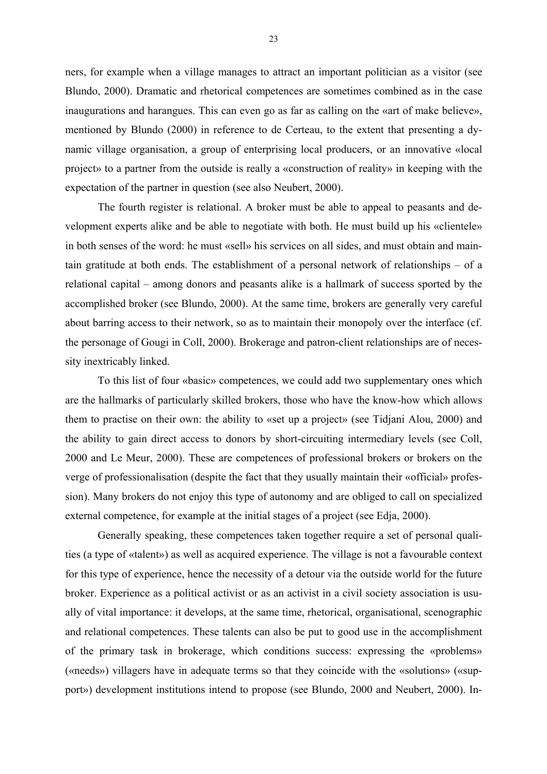ners, for example when a village manages to attract an important politician as a visitor (see Blundo, 2000). Dramatic and rhetorical competences are sometimes combined as in the case inaugurations and harangues. This can even go as far as calling on the «art of make believe», mentioned by Blundo (2000) in reference to de Certeau, to the extent that presenting a dynamic village organisation, a group of enterprising local producers, or an innovative «local project» to a partner from the outside is really a «construction of reality» in keeping with the expectation of the partner in question (see also Neubert, 2000).

The fourth register is relational. A broker must be able to appeal to peasants and development experts alike and be able to negotiate with both. He must build up his «clientele» in both senses of the word: he must «sell» his services on all sides, and must obtain and maintain gratitude at both ends. The establishment of a personal network of relationships – of a relational capital – among donors and peasants alike is a hallmark of success sported by the accomplished broker (see Blundo, 2000). At the same time, brokers are generally very careful about barring access to their network, so as to maintain their monopoly over the interface (cf. the personage of Gougi in Coll, 2000). Brokerage and patron-client relationships are of necessity inextricably linked.

To this list of four «basic» competences, we could add two supplementary ones which are the hallmarks of particularly skilled brokers, those who have the know-how which allows them to practise on their own: the ability to «set up a project» (see Tidjani Alou, 2000) and the ability to gain direct access to donors by short-circuiting intermediary levels (see Coll, 2000 and Le Meur, 2000). These are competences of professional brokers or brokers on the verge of professionalisation (despite the fact that they usually maintain their «official» profession). Many brokers do not enjoy this type of autonomy and are obliged to call on specialized external competence, for example at the initial stages of a project (see Edja, 2000).

Generally speaking, these competences taken together require a set of personal qualities (a type of «talent») as well as acquired experience. The village is not a favourable context for this type of experience, hence the necessity of a detour via the outside world for the future broker. Experience as a political activist or as an activist in a civil society association is usually of vital importance: it develops, at the same time, rhetorical, organisational, scenographic and relational competences. These talents can also be put to good use in the accomplishment of the primary task in brokerage, which conditions success: expressing the «problems» («needs») villagers have in adequate terms so that they coincide with the «solutions» («support») development institutions intend to propose (see Blundo, 2000 and Neubert, 2000). In-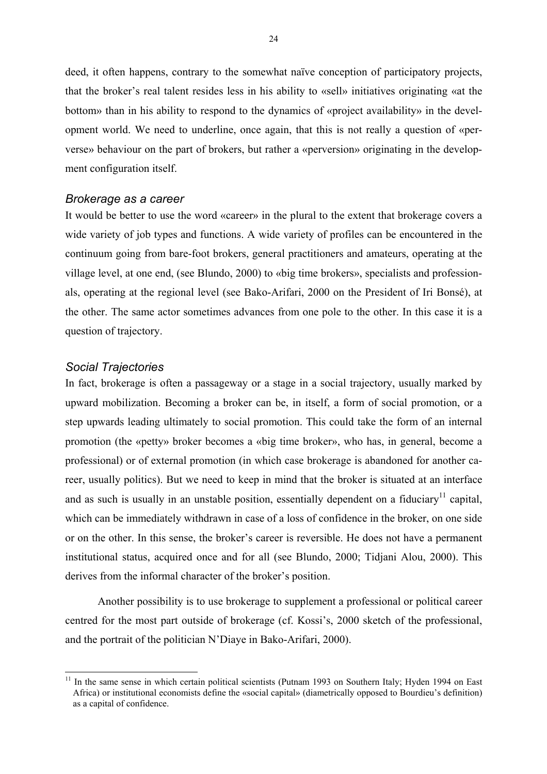deed, it often happens, contrary to the somewhat naïve conception of participatory projects, that the broker's real talent resides less in his ability to «sell» initiatives originating «at the bottom» than in his ability to respond to the dynamics of «project availability» in the development world. We need to underline, once again, that this is not really a question of «perverse» behaviour on the part of brokers, but rather a «perversion» originating in the development configuration itself.

#### *Brokerage as a career*

It would be better to use the word «career» in the plural to the extent that brokerage covers a wide variety of job types and functions. A wide variety of profiles can be encountered in the continuum going from bare-foot brokers, general practitioners and amateurs, operating at the village level, at one end, (see Blundo, 2000) to «big time brokers», specialists and professionals, operating at the regional level (see Bako-Arifari, 2000 on the President of Iri Bonsé), at the other. The same actor sometimes advances from one pole to the other. In this case it is a question of trajectory.

# *Social Trajectories*

In fact, brokerage is often a passageway or a stage in a social trajectory, usually marked by upward mobilization. Becoming a broker can be, in itself, a form of social promotion, or a step upwards leading ultimately to social promotion. This could take the form of an internal promotion (the «petty» broker becomes a «big time broker», who has, in general, become a professional) or of external promotion (in which case brokerage is abandoned for another career, usually politics). But we need to keep in mind that the broker is situated at an interface and as such is usually in an unstable position, essentially dependent on a fiduciary<sup>11</sup> capital, which can be immediately withdrawn in case of a loss of confidence in the broker, on one side or on the other. In this sense, the broker's career is reversible. He does not have a permanent institutional status, acquired once and for all (see Blundo, 2000; Tidjani Alou, 2000). This derives from the informal character of the broker's position.

Another possibility is to use brokerage to supplement a professional or political career centred for the most part outside of brokerage (cf. Kossi's, 2000 sketch of the professional, and the portrait of the politician N'Diaye in Bako-Arifari, 2000).

 $11$ 11 In the same sense in which certain political scientists (Putnam 1993 on Southern Italy; Hyden 1994 on East Africa) or institutional economists define the «social capital» (diametrically opposed to Bourdieu's definition) as a capital of confidence.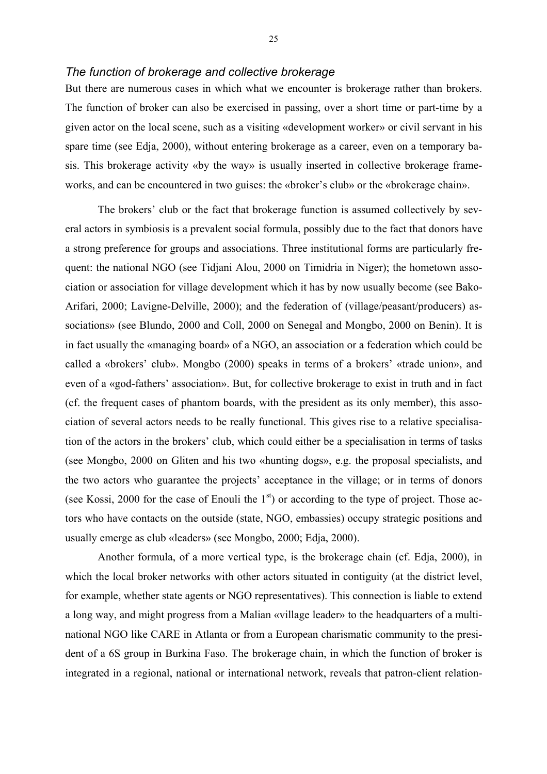#### *The function of brokerage and collective brokerage*

But there are numerous cases in which what we encounter is brokerage rather than brokers. The function of broker can also be exercised in passing, over a short time or part-time by a given actor on the local scene, such as a visiting «development worker» or civil servant in his spare time (see Edja, 2000), without entering brokerage as a career, even on a temporary basis. This brokerage activity «by the way» is usually inserted in collective brokerage frameworks, and can be encountered in two guises: the «broker's club» or the «brokerage chain».

The brokers' club or the fact that brokerage function is assumed collectively by several actors in symbiosis is a prevalent social formula, possibly due to the fact that donors have a strong preference for groups and associations. Three institutional forms are particularly frequent: the national NGO (see Tidjani Alou, 2000 on Timidria in Niger); the hometown association or association for village development which it has by now usually become (see Bako-Arifari, 2000; Lavigne-Delville, 2000); and the federation of (village/peasant/producers) associations» (see Blundo, 2000 and Coll, 2000 on Senegal and Mongbo, 2000 on Benin). It is in fact usually the «managing board» of a NGO, an association or a federation which could be called a «brokers' club». Mongbo (2000) speaks in terms of a brokers' «trade union», and even of a «god-fathers' association». But, for collective brokerage to exist in truth and in fact (cf. the frequent cases of phantom boards, with the president as its only member), this association of several actors needs to be really functional. This gives rise to a relative specialisation of the actors in the brokers' club, which could either be a specialisation in terms of tasks (see Mongbo, 2000 on Gliten and his two «hunting dogs», e.g. the proposal specialists, and the two actors who guarantee the projects' acceptance in the village; or in terms of donors (see Kossi, 2000 for the case of Enouli the  $1<sup>st</sup>$ ) or according to the type of project. Those actors who have contacts on the outside (state, NGO, embassies) occupy strategic positions and usually emerge as club «leaders» (see Mongbo, 2000; Edja, 2000).

Another formula, of a more vertical type, is the brokerage chain (cf. Edja, 2000), in which the local broker networks with other actors situated in contiguity (at the district level, for example, whether state agents or NGO representatives). This connection is liable to extend a long way, and might progress from a Malian «village leader» to the headquarters of a multinational NGO like CARE in Atlanta or from a European charismatic community to the president of a 6S group in Burkina Faso. The brokerage chain, in which the function of broker is integrated in a regional, national or international network, reveals that patron-client relation-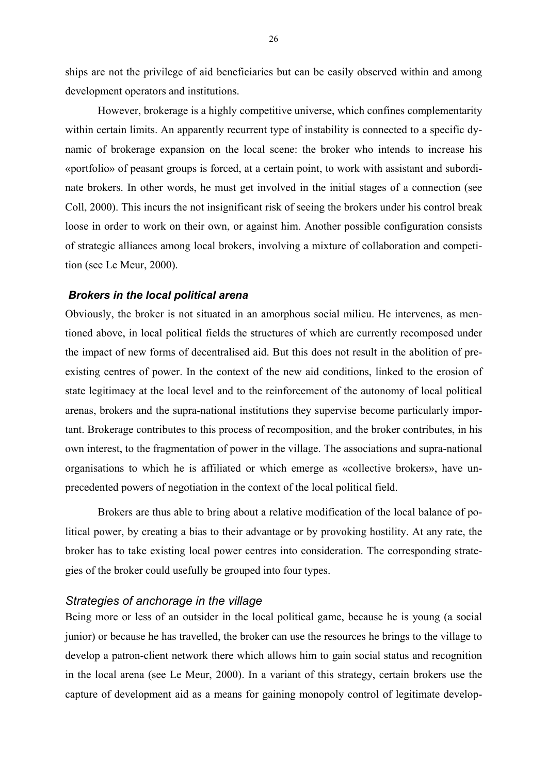ships are not the privilege of aid beneficiaries but can be easily observed within and among development operators and institutions.

However, brokerage is a highly competitive universe, which confines complementarity within certain limits. An apparently recurrent type of instability is connected to a specific dynamic of brokerage expansion on the local scene: the broker who intends to increase his «portfolio» of peasant groups is forced, at a certain point, to work with assistant and subordinate brokers. In other words, he must get involved in the initial stages of a connection (see Coll, 2000). This incurs the not insignificant risk of seeing the brokers under his control break loose in order to work on their own, or against him. Another possible configuration consists of strategic alliances among local brokers, involving a mixture of collaboration and competition (see Le Meur, 2000).

### *Brokers in the local political arena*

Obviously, the broker is not situated in an amorphous social milieu. He intervenes, as mentioned above, in local political fields the structures of which are currently recomposed under the impact of new forms of decentralised aid. But this does not result in the abolition of preexisting centres of power. In the context of the new aid conditions, linked to the erosion of state legitimacy at the local level and to the reinforcement of the autonomy of local political arenas, brokers and the supra-national institutions they supervise become particularly important. Brokerage contributes to this process of recomposition, and the broker contributes, in his own interest, to the fragmentation of power in the village. The associations and supra-national organisations to which he is affiliated or which emerge as «collective brokers», have unprecedented powers of negotiation in the context of the local political field.

Brokers are thus able to bring about a relative modification of the local balance of political power, by creating a bias to their advantage or by provoking hostility. At any rate, the broker has to take existing local power centres into consideration. The corresponding strategies of the broker could usefully be grouped into four types.

#### *Strategies of anchorage in the village*

Being more or less of an outsider in the local political game, because he is young (a social junior) or because he has travelled, the broker can use the resources he brings to the village to develop a patron-client network there which allows him to gain social status and recognition in the local arena (see Le Meur, 2000). In a variant of this strategy, certain brokers use the capture of development aid as a means for gaining monopoly control of legitimate develop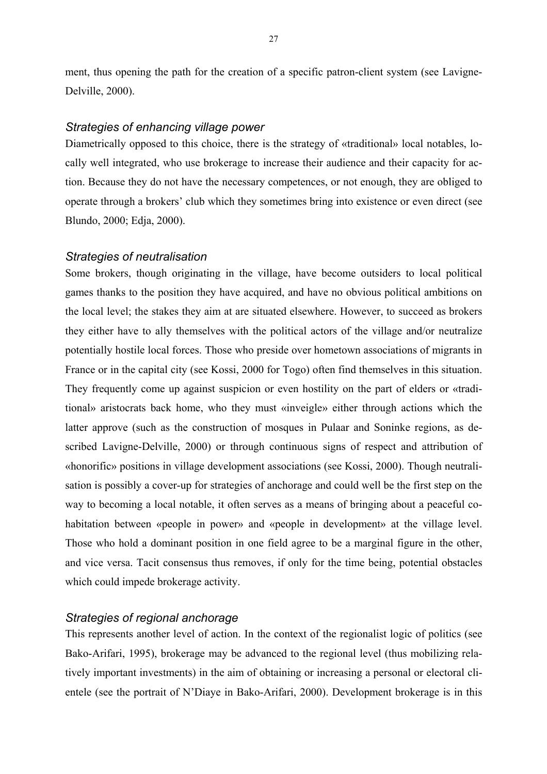ment, thus opening the path for the creation of a specific patron-client system (see Lavigne-Delville, 2000).

# *Strategies of enhancing village power*

Diametrically opposed to this choice, there is the strategy of «traditional» local notables, locally well integrated, who use brokerage to increase their audience and their capacity for action. Because they do not have the necessary competences, or not enough, they are obliged to operate through a brokers' club which they sometimes bring into existence or even direct (see Blundo, 2000; Edja, 2000).

#### *Strategies of neutralisation*

Some brokers, though originating in the village, have become outsiders to local political games thanks to the position they have acquired, and have no obvious political ambitions on the local level; the stakes they aim at are situated elsewhere. However, to succeed as brokers they either have to ally themselves with the political actors of the village and/or neutralize potentially hostile local forces. Those who preside over hometown associations of migrants in France or in the capital city (see Kossi, 2000 for Togo) often find themselves in this situation. They frequently come up against suspicion or even hostility on the part of elders or «traditional» aristocrats back home, who they must «inveigle» either through actions which the latter approve (such as the construction of mosques in Pulaar and Soninke regions, as described Lavigne-Delville, 2000) or through continuous signs of respect and attribution of «honorific» positions in village development associations (see Kossi, 2000). Though neutralisation is possibly a cover-up for strategies of anchorage and could well be the first step on the way to becoming a local notable, it often serves as a means of bringing about a peaceful cohabitation between «people in power» and «people in development» at the village level. Those who hold a dominant position in one field agree to be a marginal figure in the other, and vice versa. Tacit consensus thus removes, if only for the time being, potential obstacles which could impede brokerage activity.

# *Strategies of regional anchorage*

This represents another level of action. In the context of the regionalist logic of politics (see Bako-Arifari, 1995), brokerage may be advanced to the regional level (thus mobilizing relatively important investments) in the aim of obtaining or increasing a personal or electoral clientele (see the portrait of N'Diaye in Bako-Arifari, 2000). Development brokerage is in this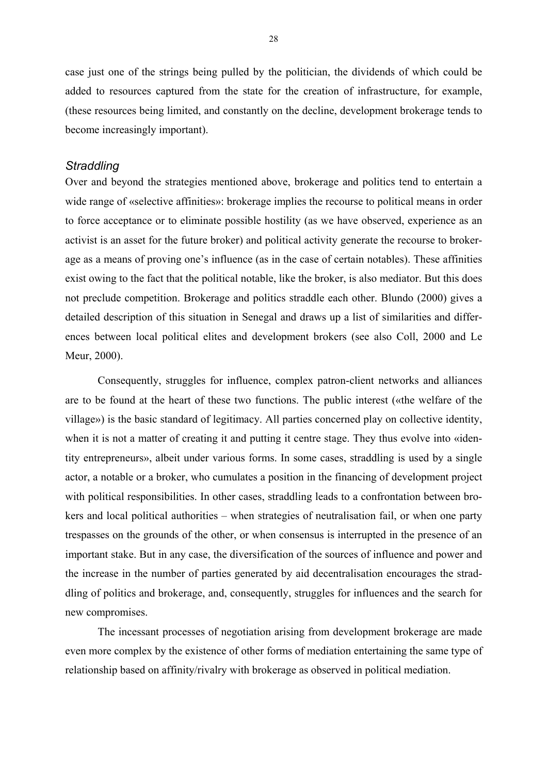case just one of the strings being pulled by the politician, the dividends of which could be added to resources captured from the state for the creation of infrastructure, for example, (these resources being limited, and constantly on the decline, development brokerage tends to become increasingly important).

# *Straddling*

Over and beyond the strategies mentioned above, brokerage and politics tend to entertain a wide range of «selective affinities»: brokerage implies the recourse to political means in order to force acceptance or to eliminate possible hostility (as we have observed, experience as an activist is an asset for the future broker) and political activity generate the recourse to brokerage as a means of proving one's influence (as in the case of certain notables). These affinities exist owing to the fact that the political notable, like the broker, is also mediator. But this does not preclude competition. Brokerage and politics straddle each other. Blundo (2000) gives a detailed description of this situation in Senegal and draws up a list of similarities and differences between local political elites and development brokers (see also Coll, 2000 and Le Meur, 2000).

Consequently, struggles for influence, complex patron-client networks and alliances are to be found at the heart of these two functions. The public interest («the welfare of the village») is the basic standard of legitimacy. All parties concerned play on collective identity, when it is not a matter of creating it and putting it centre stage. They thus evolve into «identity entrepreneurs», albeit under various forms. In some cases, straddling is used by a single actor, a notable or a broker, who cumulates a position in the financing of development project with political responsibilities. In other cases, straddling leads to a confrontation between brokers and local political authorities – when strategies of neutralisation fail, or when one party trespasses on the grounds of the other, or when consensus is interrupted in the presence of an important stake. But in any case, the diversification of the sources of influence and power and the increase in the number of parties generated by aid decentralisation encourages the straddling of politics and brokerage, and, consequently, struggles for influences and the search for new compromises.

The incessant processes of negotiation arising from development brokerage are made even more complex by the existence of other forms of mediation entertaining the same type of relationship based on affinity/rivalry with brokerage as observed in political mediation.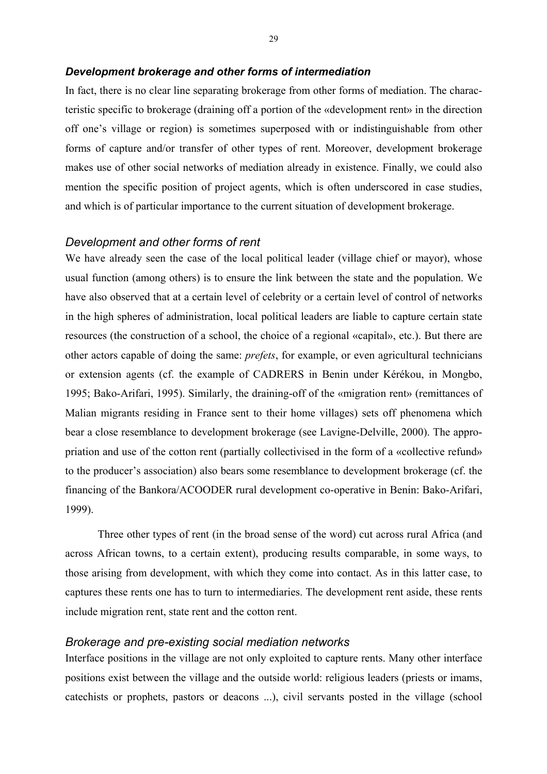#### *Development brokerage and other forms of intermediation*

In fact, there is no clear line separating brokerage from other forms of mediation. The characteristic specific to brokerage (draining off a portion of the «development rent» in the direction off one's village or region) is sometimes superposed with or indistinguishable from other forms of capture and/or transfer of other types of rent. Moreover, development brokerage makes use of other social networks of mediation already in existence. Finally, we could also mention the specific position of project agents, which is often underscored in case studies, and which is of particular importance to the current situation of development brokerage.

#### *Development and other forms of rent*

We have already seen the case of the local political leader (village chief or mayor), whose usual function (among others) is to ensure the link between the state and the population. We have also observed that at a certain level of celebrity or a certain level of control of networks in the high spheres of administration, local political leaders are liable to capture certain state resources (the construction of a school, the choice of a regional «capital», etc.). But there are other actors capable of doing the same: *prefets*, for example, or even agricultural technicians or extension agents (cf. the example of CADRERS in Benin under Kérékou, in Mongbo, 1995; Bako-Arifari, 1995). Similarly, the draining-off of the «migration rent» (remittances of Malian migrants residing in France sent to their home villages) sets off phenomena which bear a close resemblance to development brokerage (see Lavigne-Delville, 2000). The appropriation and use of the cotton rent (partially collectivised in the form of a «collective refund» to the producer's association) also bears some resemblance to development brokerage (cf. the financing of the Bankora/ACOODER rural development co-operative in Benin: Bako-Arifari, 1999).

Three other types of rent (in the broad sense of the word) cut across rural Africa (and across African towns, to a certain extent), producing results comparable, in some ways, to those arising from development, with which they come into contact. As in this latter case, to captures these rents one has to turn to intermediaries. The development rent aside, these rents include migration rent, state rent and the cotton rent.

#### *Brokerage and pre-existing social mediation networks*

Interface positions in the village are not only exploited to capture rents. Many other interface positions exist between the village and the outside world: religious leaders (priests or imams, catechists or prophets, pastors or deacons ...), civil servants posted in the village (school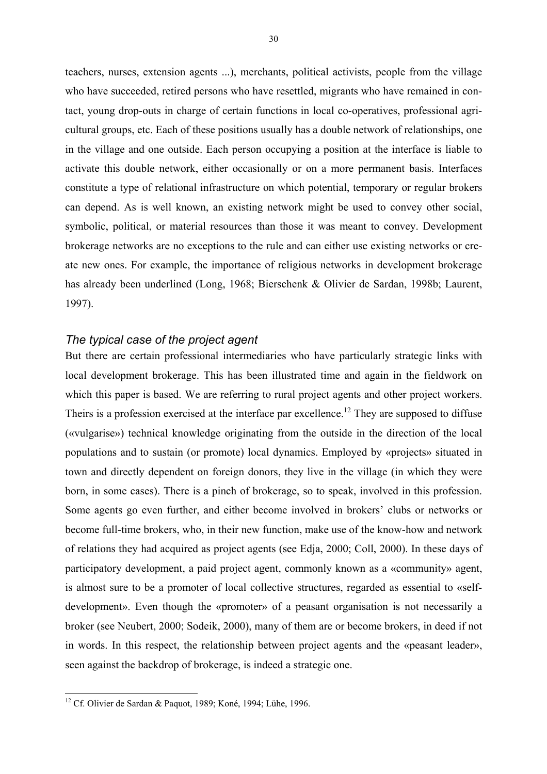teachers, nurses, extension agents ...), merchants, political activists, people from the village who have succeeded, retired persons who have resettled, migrants who have remained in contact, young drop-outs in charge of certain functions in local co-operatives, professional agricultural groups, etc. Each of these positions usually has a double network of relationships, one in the village and one outside. Each person occupying a position at the interface is liable to activate this double network, either occasionally or on a more permanent basis. Interfaces constitute a type of relational infrastructure on which potential, temporary or regular brokers can depend. As is well known, an existing network might be used to convey other social, symbolic, political, or material resources than those it was meant to convey. Development brokerage networks are no exceptions to the rule and can either use existing networks or create new ones. For example, the importance of religious networks in development brokerage has already been underlined (Long, 1968; Bierschenk & Olivier de Sardan, 1998b; Laurent, 1997).

# *The typical case of the project agent*

But there are certain professional intermediaries who have particularly strategic links with local development brokerage. This has been illustrated time and again in the fieldwork on which this paper is based. We are referring to rural project agents and other project workers. Theirs is a profession exercised at the interface par excellence.<sup>12</sup> They are supposed to diffuse («vulgarise») technical knowledge originating from the outside in the direction of the local populations and to sustain (or promote) local dynamics. Employed by «projects» situated in town and directly dependent on foreign donors, they live in the village (in which they were born, in some cases). There is a pinch of brokerage, so to speak, involved in this profession. Some agents go even further, and either become involved in brokers' clubs or networks or become full-time brokers, who, in their new function, make use of the know-how and network of relations they had acquired as project agents (see Edja, 2000; Coll, 2000). In these days of participatory development, a paid project agent, commonly known as a «community» agent, is almost sure to be a promoter of local collective structures, regarded as essential to «selfdevelopment». Even though the «promoter» of a peasant organisation is not necessarily a broker (see Neubert, 2000; Sodeik, 2000), many of them are or become brokers, in deed if not in words. In this respect, the relationship between project agents and the «peasant leader», seen against the backdrop of brokerage, is indeed a strategic one.

<sup>&</sup>lt;sup>12</sup> Cf. Olivier de Sardan & Paquot, 1989; Koné, 1994; Lühe, 1996.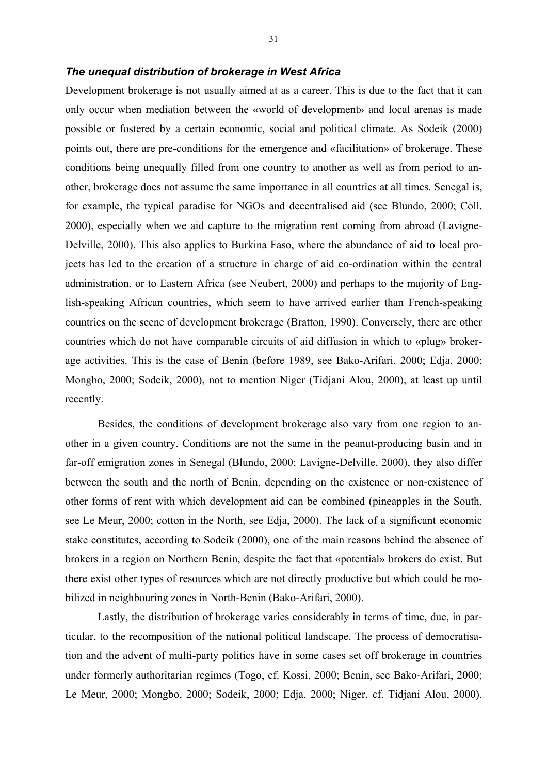#### *The unequal distribution of brokerage in West Africa*

Development brokerage is not usually aimed at as a career. This is due to the fact that it can only occur when mediation between the «world of development» and local arenas is made possible or fostered by a certain economic, social and political climate. As Sodeik (2000) points out, there are pre-conditions for the emergence and «facilitation» of brokerage. These conditions being unequally filled from one country to another as well as from period to another, brokerage does not assume the same importance in all countries at all times. Senegal is, for example, the typical paradise for NGOs and decentralised aid (see Blundo, 2000; Coll, 2000), especially when we aid capture to the migration rent coming from abroad (Lavigne-Delville, 2000). This also applies to Burkina Faso, where the abundance of aid to local projects has led to the creation of a structure in charge of aid co-ordination within the central administration, or to Eastern Africa (see Neubert, 2000) and perhaps to the majority of English-speaking African countries, which seem to have arrived earlier than French-speaking countries on the scene of development brokerage (Bratton, 1990). Conversely, there are other countries which do not have comparable circuits of aid diffusion in which to «plug» brokerage activities. This is the case of Benin (before 1989, see Bako-Arifari, 2000; Edja, 2000; Mongbo, 2000; Sodeik, 2000), not to mention Niger (Tidjani Alou, 2000), at least up until recently.

Besides, the conditions of development brokerage also vary from one region to another in a given country. Conditions are not the same in the peanut-producing basin and in far-off emigration zones in Senegal (Blundo, 2000; Lavigne-Delville, 2000), they also differ between the south and the north of Benin, depending on the existence or non-existence of other forms of rent with which development aid can be combined (pineapples in the South, see Le Meur, 2000; cotton in the North, see Edja, 2000). The lack of a significant economic stake constitutes, according to Sodeik (2000), one of the main reasons behind the absence of brokers in a region on Northern Benin, despite the fact that «potential» brokers do exist. But there exist other types of resources which are not directly productive but which could be mobilized in neighbouring zones in North-Benin (Bako-Arifari, 2000).

Lastly, the distribution of brokerage varies considerably in terms of time, due, in particular, to the recomposition of the national political landscape. The process of democratisation and the advent of multi-party politics have in some cases set off brokerage in countries under formerly authoritarian regimes (Togo, cf. Kossi, 2000; Benin, see Bako-Arifari, 2000; Le Meur, 2000; Mongbo, 2000; Sodeik, 2000; Edja, 2000; Niger, cf. Tidjani Alou, 2000).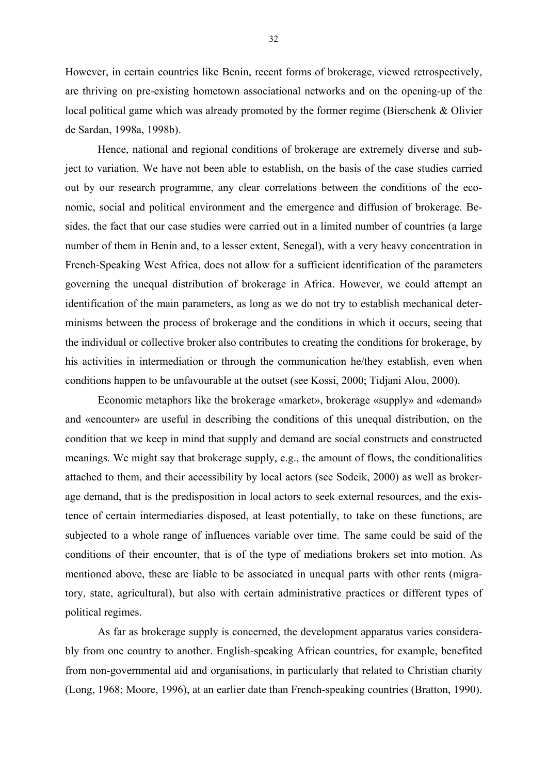However, in certain countries like Benin, recent forms of brokerage, viewed retrospectively, are thriving on pre-existing hometown associational networks and on the opening-up of the local political game which was already promoted by the former regime (Bierschenk & Olivier de Sardan, 1998a, 1998b).

Hence, national and regional conditions of brokerage are extremely diverse and subject to variation. We have not been able to establish, on the basis of the case studies carried out by our research programme, any clear correlations between the conditions of the economic, social and political environment and the emergence and diffusion of brokerage. Besides, the fact that our case studies were carried out in a limited number of countries (a large number of them in Benin and, to a lesser extent, Senegal), with a very heavy concentration in French-Speaking West Africa, does not allow for a sufficient identification of the parameters governing the unequal distribution of brokerage in Africa. However, we could attempt an identification of the main parameters, as long as we do not try to establish mechanical determinisms between the process of brokerage and the conditions in which it occurs, seeing that the individual or collective broker also contributes to creating the conditions for brokerage, by his activities in intermediation or through the communication he/they establish, even when conditions happen to be unfavourable at the outset (see Kossi, 2000; Tidjani Alou, 2000).

Economic metaphors like the brokerage «market», brokerage «supply» and «demand» and «encounter» are useful in describing the conditions of this unequal distribution, on the condition that we keep in mind that supply and demand are social constructs and constructed meanings. We might say that brokerage supply, e.g., the amount of flows, the conditionalities attached to them, and their accessibility by local actors (see Sodeik, 2000) as well as brokerage demand, that is the predisposition in local actors to seek external resources, and the existence of certain intermediaries disposed, at least potentially, to take on these functions, are subjected to a whole range of influences variable over time. The same could be said of the conditions of their encounter, that is of the type of mediations brokers set into motion. As mentioned above, these are liable to be associated in unequal parts with other rents (migratory, state, agricultural), but also with certain administrative practices or different types of political regimes.

As far as brokerage supply is concerned, the development apparatus varies considerably from one country to another. English-speaking African countries, for example, benefited from non-governmental aid and organisations, in particularly that related to Christian charity (Long, 1968; Moore, 1996), at an earlier date than French-speaking countries (Bratton, 1990).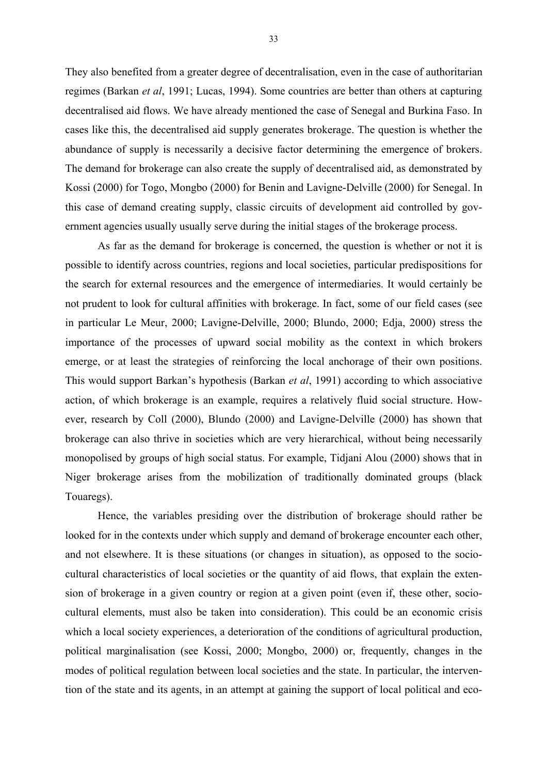They also benefited from a greater degree of decentralisation, even in the case of authoritarian regimes (Barkan *et al*, 1991; Lucas, 1994). Some countries are better than others at capturing decentralised aid flows. We have already mentioned the case of Senegal and Burkina Faso. In cases like this, the decentralised aid supply generates brokerage. The question is whether the abundance of supply is necessarily a decisive factor determining the emergence of brokers. The demand for brokerage can also create the supply of decentralised aid, as demonstrated by Kossi (2000) for Togo, Mongbo (2000) for Benin and Lavigne-Delville (2000) for Senegal. In this case of demand creating supply, classic circuits of development aid controlled by government agencies usually usually serve during the initial stages of the brokerage process.

As far as the demand for brokerage is concerned, the question is whether or not it is possible to identify across countries, regions and local societies, particular predispositions for the search for external resources and the emergence of intermediaries. It would certainly be not prudent to look for cultural affinities with brokerage. In fact, some of our field cases (see in particular Le Meur, 2000; Lavigne-Delville, 2000; Blundo, 2000; Edja, 2000) stress the importance of the processes of upward social mobility as the context in which brokers emerge, or at least the strategies of reinforcing the local anchorage of their own positions. This would support Barkan's hypothesis (Barkan *et al*, 1991) according to which associative action, of which brokerage is an example, requires a relatively fluid social structure. However, research by Coll (2000), Blundo (2000) and Lavigne-Delville (2000) has shown that brokerage can also thrive in societies which are very hierarchical, without being necessarily monopolised by groups of high social status. For example, Tidjani Alou (2000) shows that in Niger brokerage arises from the mobilization of traditionally dominated groups (black Touaregs).

Hence, the variables presiding over the distribution of brokerage should rather be looked for in the contexts under which supply and demand of brokerage encounter each other, and not elsewhere. It is these situations (or changes in situation), as opposed to the sociocultural characteristics of local societies or the quantity of aid flows, that explain the extension of brokerage in a given country or region at a given point (even if, these other, sociocultural elements, must also be taken into consideration). This could be an economic crisis which a local society experiences, a deterioration of the conditions of agricultural production, political marginalisation (see Kossi, 2000; Mongbo, 2000) or, frequently, changes in the modes of political regulation between local societies and the state. In particular, the intervention of the state and its agents, in an attempt at gaining the support of local political and eco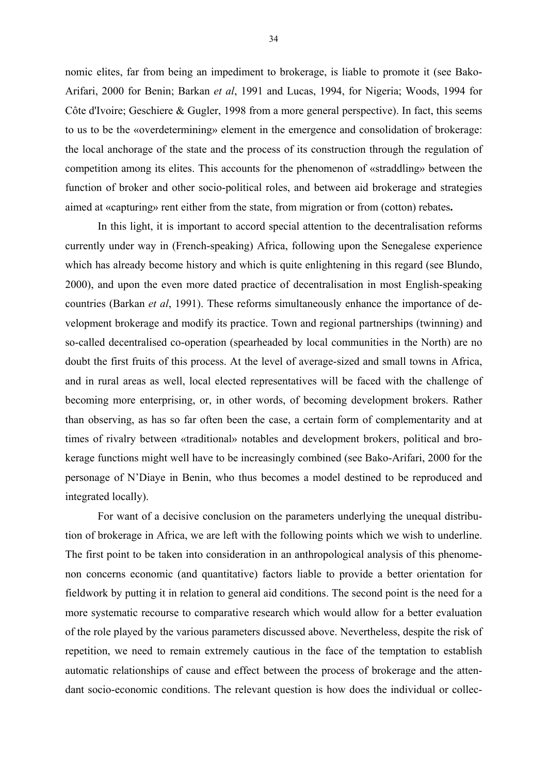nomic elites, far from being an impediment to brokerage, is liable to promote it (see Bako-Arifari, 2000 for Benin; Barkan *et al*, 1991 and Lucas, 1994, for Nigeria; Woods, 1994 for Côte d'Ivoire; Geschiere & Gugler, 1998 from a more general perspective). In fact, this seems to us to be the «overdetermining» element in the emergence and consolidation of brokerage: the local anchorage of the state and the process of its construction through the regulation of competition among its elites. This accounts for the phenomenon of «straddling» between the function of broker and other socio-political roles, and between aid brokerage and strategies aimed at «capturing» rent either from the state, from migration or from (cotton) rebates**.**

In this light, it is important to accord special attention to the decentralisation reforms currently under way in (French-speaking) Africa, following upon the Senegalese experience which has already become history and which is quite enlightening in this regard (see Blundo, 2000), and upon the even more dated practice of decentralisation in most English-speaking countries (Barkan *et al*, 1991). These reforms simultaneously enhance the importance of development brokerage and modify its practice. Town and regional partnerships (twinning) and so-called decentralised co-operation (spearheaded by local communities in the North) are no doubt the first fruits of this process. At the level of average-sized and small towns in Africa, and in rural areas as well, local elected representatives will be faced with the challenge of becoming more enterprising, or, in other words, of becoming development brokers. Rather than observing, as has so far often been the case, a certain form of complementarity and at times of rivalry between «traditional» notables and development brokers, political and brokerage functions might well have to be increasingly combined (see Bako-Arifari, 2000 for the personage of N'Diaye in Benin, who thus becomes a model destined to be reproduced and integrated locally).

For want of a decisive conclusion on the parameters underlying the unequal distribution of brokerage in Africa, we are left with the following points which we wish to underline. The first point to be taken into consideration in an anthropological analysis of this phenomenon concerns economic (and quantitative) factors liable to provide a better orientation for fieldwork by putting it in relation to general aid conditions. The second point is the need for a more systematic recourse to comparative research which would allow for a better evaluation of the role played by the various parameters discussed above. Nevertheless, despite the risk of repetition, we need to remain extremely cautious in the face of the temptation to establish automatic relationships of cause and effect between the process of brokerage and the attendant socio-economic conditions. The relevant question is how does the individual or collec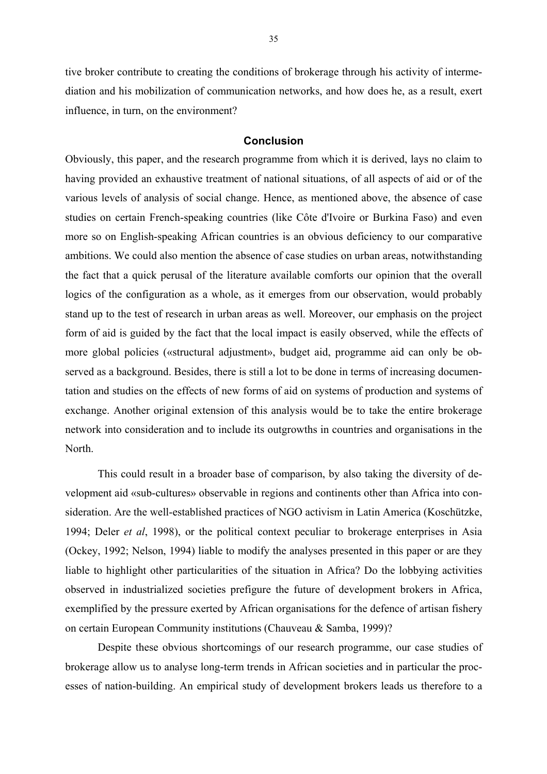tive broker contribute to creating the conditions of brokerage through his activity of intermediation and his mobilization of communication networks, and how does he, as a result, exert influence, in turn, on the environment?

#### **Conclusion**

Obviously, this paper, and the research programme from which it is derived, lays no claim to having provided an exhaustive treatment of national situations, of all aspects of aid or of the various levels of analysis of social change. Hence, as mentioned above, the absence of case studies on certain French-speaking countries (like Côte d'Ivoire or Burkina Faso) and even more so on English-speaking African countries is an obvious deficiency to our comparative ambitions. We could also mention the absence of case studies on urban areas, notwithstanding the fact that a quick perusal of the literature available comforts our opinion that the overall logics of the configuration as a whole, as it emerges from our observation, would probably stand up to the test of research in urban areas as well. Moreover, our emphasis on the project form of aid is guided by the fact that the local impact is easily observed, while the effects of more global policies («structural adjustment», budget aid, programme aid can only be observed as a background. Besides, there is still a lot to be done in terms of increasing documentation and studies on the effects of new forms of aid on systems of production and systems of exchange. Another original extension of this analysis would be to take the entire brokerage network into consideration and to include its outgrowths in countries and organisations in the North.

This could result in a broader base of comparison, by also taking the diversity of development aid «sub-cultures» observable in regions and continents other than Africa into consideration. Are the well-established practices of NGO activism in Latin America (Koschützke, 1994; Deler *et al*, 1998), or the political context peculiar to brokerage enterprises in Asia (Ockey, 1992; Nelson, 1994) liable to modify the analyses presented in this paper or are they liable to highlight other particularities of the situation in Africa? Do the lobbying activities observed in industrialized societies prefigure the future of development brokers in Africa, exemplified by the pressure exerted by African organisations for the defence of artisan fishery on certain European Community institutions (Chauveau & Samba, 1999)?

Despite these obvious shortcomings of our research programme, our case studies of brokerage allow us to analyse long-term trends in African societies and in particular the processes of nation-building. An empirical study of development brokers leads us therefore to a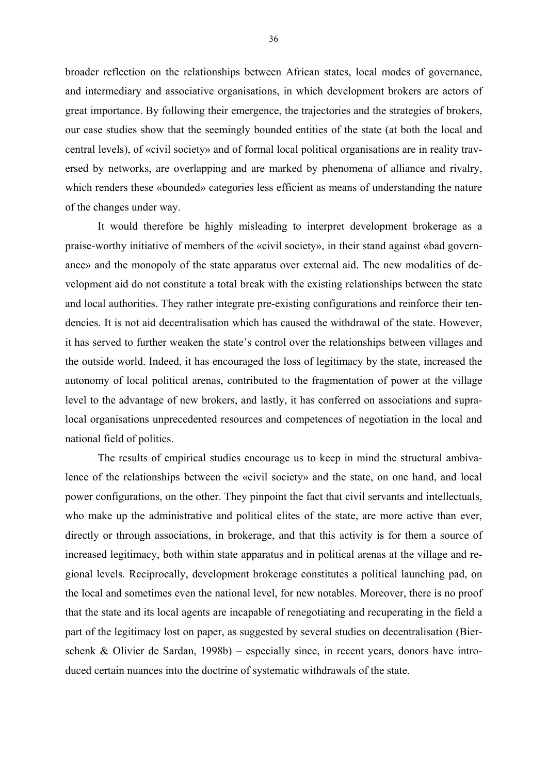broader reflection on the relationships between African states, local modes of governance, and intermediary and associative organisations, in which development brokers are actors of great importance. By following their emergence, the trajectories and the strategies of brokers, our case studies show that the seemingly bounded entities of the state (at both the local and central levels), of «civil society» and of formal local political organisations are in reality traversed by networks, are overlapping and are marked by phenomena of alliance and rivalry, which renders these «bounded» categories less efficient as means of understanding the nature of the changes under way.

It would therefore be highly misleading to interpret development brokerage as a praise-worthy initiative of members of the «civil society», in their stand against «bad governance» and the monopoly of the state apparatus over external aid. The new modalities of development aid do not constitute a total break with the existing relationships between the state and local authorities. They rather integrate pre-existing configurations and reinforce their tendencies. It is not aid decentralisation which has caused the withdrawal of the state. However, it has served to further weaken the state's control over the relationships between villages and the outside world. Indeed, it has encouraged the loss of legitimacy by the state, increased the autonomy of local political arenas, contributed to the fragmentation of power at the village level to the advantage of new brokers, and lastly, it has conferred on associations and supralocal organisations unprecedented resources and competences of negotiation in the local and national field of politics.

The results of empirical studies encourage us to keep in mind the structural ambivalence of the relationships between the «civil society» and the state, on one hand, and local power configurations, on the other. They pinpoint the fact that civil servants and intellectuals, who make up the administrative and political elites of the state, are more active than ever, directly or through associations, in brokerage, and that this activity is for them a source of increased legitimacy, both within state apparatus and in political arenas at the village and regional levels. Reciprocally, development brokerage constitutes a political launching pad, on the local and sometimes even the national level, for new notables. Moreover, there is no proof that the state and its local agents are incapable of renegotiating and recuperating in the field a part of the legitimacy lost on paper, as suggested by several studies on decentralisation (Bierschenk & Olivier de Sardan, 1998b) – especially since, in recent years, donors have introduced certain nuances into the doctrine of systematic withdrawals of the state.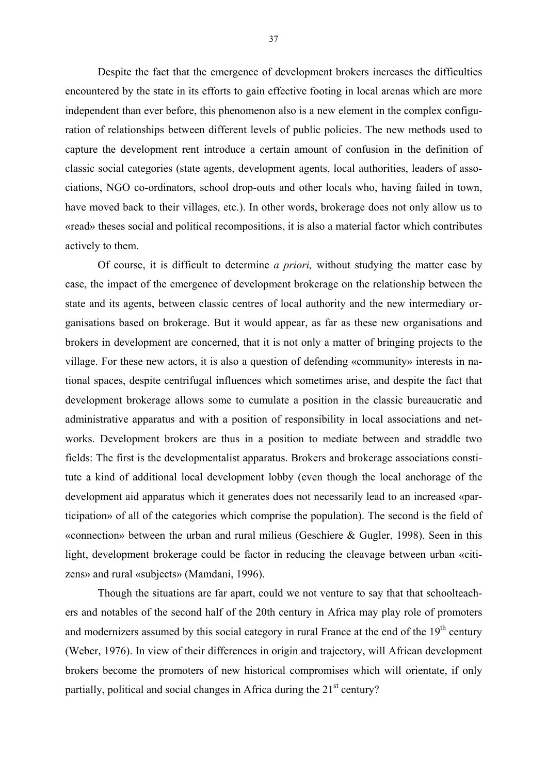Despite the fact that the emergence of development brokers increases the difficulties encountered by the state in its efforts to gain effective footing in local arenas which are more independent than ever before, this phenomenon also is a new element in the complex configuration of relationships between different levels of public policies. The new methods used to capture the development rent introduce a certain amount of confusion in the definition of classic social categories (state agents, development agents, local authorities, leaders of associations, NGO co-ordinators, school drop-outs and other locals who, having failed in town, have moved back to their villages, etc.). In other words, brokerage does not only allow us to «read» theses social and political recompositions, it is also a material factor which contributes actively to them.

Of course, it is difficult to determine *a priori,* without studying the matter case by case, the impact of the emergence of development brokerage on the relationship between the state and its agents, between classic centres of local authority and the new intermediary organisations based on brokerage. But it would appear, as far as these new organisations and brokers in development are concerned, that it is not only a matter of bringing projects to the village. For these new actors, it is also a question of defending «community» interests in national spaces, despite centrifugal influences which sometimes arise, and despite the fact that development brokerage allows some to cumulate a position in the classic bureaucratic and administrative apparatus and with a position of responsibility in local associations and networks. Development brokers are thus in a position to mediate between and straddle two fields: The first is the developmentalist apparatus. Brokers and brokerage associations constitute a kind of additional local development lobby (even though the local anchorage of the development aid apparatus which it generates does not necessarily lead to an increased «participation» of all of the categories which comprise the population). The second is the field of «connection» between the urban and rural milieus (Geschiere & Gugler, 1998). Seen in this light, development brokerage could be factor in reducing the cleavage between urban «citizens» and rural «subjects» (Mamdani, 1996).

Though the situations are far apart, could we not venture to say that that schoolteachers and notables of the second half of the 20th century in Africa may play role of promoters and modernizers assumed by this social category in rural France at the end of the  $19<sup>th</sup>$  century (Weber, 1976). In view of their differences in origin and trajectory, will African development brokers become the promoters of new historical compromises which will orientate, if only partially, political and social changes in Africa during the  $21<sup>st</sup>$  century?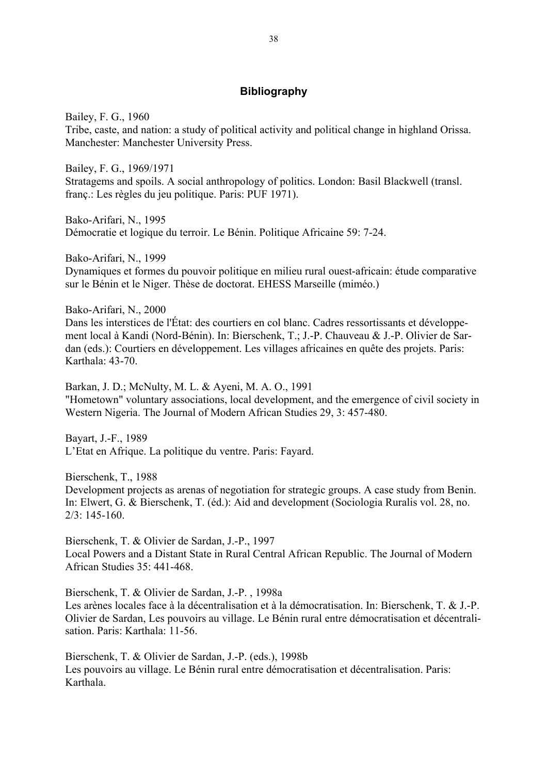# **Bibliography**

Bailey, F. G., 1960 Tribe, caste, and nation: a study of political activity and political change in highland Orissa. Manchester: Manchester University Press.

Bailey, F. G., 1969/1971 Stratagems and spoils. A social anthropology of politics. London: Basil Blackwell (transl. franç.: Les règles du jeu politique. Paris: PUF 1971).

Bako-Arifari, N., 1995 Démocratie et logique du terroir. Le Bénin. Politique Africaine 59: 7-24.

Bako-Arifari, N., 1999 Dynamiques et formes du pouvoir politique en milieu rural ouest-africain: étude comparative sur le Bénin et le Niger. Thèse de doctorat. EHESS Marseille (miméo.)

Bako-Arifari, N., 2000

Dans les interstices de l'État: des courtiers en col blanc. Cadres ressortissants et développement local à Kandi (Nord-Bénin). In: Bierschenk, T.; J.-P. Chauveau & J.-P. Olivier de Sardan (eds.): Courtiers en développement. Les villages africaines en quête des projets. Paris: Karthala: 43-70.

Barkan, J. D.; McNulty, M. L. & Ayeni, M. A. O., 1991 "Hometown" voluntary associations, local development, and the emergence of civil society in Western Nigeria. The Journal of Modern African Studies 29, 3: 457-480.

Bayart, J.-F., 1989 L'Etat en Afrique. La politique du ventre. Paris: Fayard.

Bierschenk, T., 1988

Development projects as arenas of negotiation for strategic groups. A case study from Benin. In: Elwert, G. & Bierschenk, T. (éd.): Aid and development (Sociologia Ruralis vol. 28, no. 2/3: 145-160.

Bierschenk, T. & Olivier de Sardan, J.-P., 1997 Local Powers and a Distant State in Rural Central African Republic. The Journal of Modern African Studies 35: 441-468.

Bierschenk, T. & Olivier de Sardan, J.-P. , 1998a Les arènes locales face à la décentralisation et à la démocratisation. In: Bierschenk, T. & J.-P. Olivier de Sardan, Les pouvoirs au village. Le Bénin rural entre démocratisation et décentralisation. Paris: Karthala: 11-56.

Bierschenk, T. & Olivier de Sardan, J.-P. (eds.), 1998b Les pouvoirs au village. Le Bénin rural entre démocratisation et décentralisation. Paris: Karthala.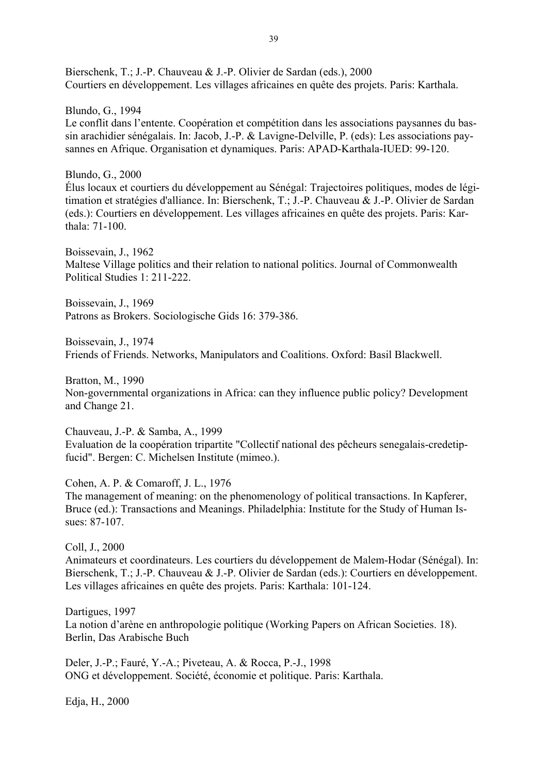Bierschenk, T.; J.-P. Chauveau & J.-P. Olivier de Sardan (eds.), 2000 Courtiers en développement. Les villages africaines en quête des projets. Paris: Karthala.

Blundo, G., 1994 Le conflit dans l'entente. Coopération et compétition dans les associations paysannes du bassin arachidier sénégalais. In: Jacob, J.-P. & Lavigne-Delville, P. (eds): Les associations paysannes en Afrique. Organisation et dynamiques. Paris: APAD-Karthala-IUED: 99-120.

Blundo, G., 2000 Élus locaux et courtiers du développement au Sénégal: Trajectoires politiques, modes de légitimation et stratégies d'alliance. In: Bierschenk, T.; J.-P. Chauveau & J.-P. Olivier de Sardan (eds.): Courtiers en développement. Les villages africaines en quête des projets. Paris: Karthala: 71-100.

Boissevain, J., 1962 Maltese Village politics and their relation to national politics. Journal of Commonwealth Political Studies 1: 211-222.

Boissevain, J., 1969 Patrons as Brokers. Sociologische Gids 16: 379-386.

Boissevain, J., 1974 Friends of Friends. Networks, Manipulators and Coalitions. Oxford: Basil Blackwell.

Bratton, M., 1990 Non-governmental organizations in Africa: can they influence public policy? Development and Change 21.

Chauveau, J.-P. & Samba, A., 1999 Evaluation de la coopération tripartite "Collectif national des pêcheurs senegalais-credetipfucid". Bergen: C. Michelsen Institute (mimeo.).

Cohen, A. P. & Comaroff, J. L., 1976 The management of meaning: on the phenomenology of political transactions. In Kapferer, Bruce (ed.): Transactions and Meanings. Philadelphia: Institute for the Study of Human Issues: 87-107.

Coll, J., 2000

Animateurs et coordinateurs. Les courtiers du développement de Malem-Hodar (Sénégal). In: Bierschenk, T.; J.-P. Chauveau & J.-P. Olivier de Sardan (eds.): Courtiers en développement. Les villages africaines en quête des projets. Paris: Karthala: 101-124.

Dartigues, 1997 La notion d'arène en anthropologie politique (Working Papers on African Societies. 18). Berlin, Das Arabische Buch

Deler, J.-P.; Fauré, Y.-A.; Piveteau, A. & Rocca, P.-J., 1998 ONG et développement. Société, économie et politique. Paris: Karthala.

Edja, H., 2000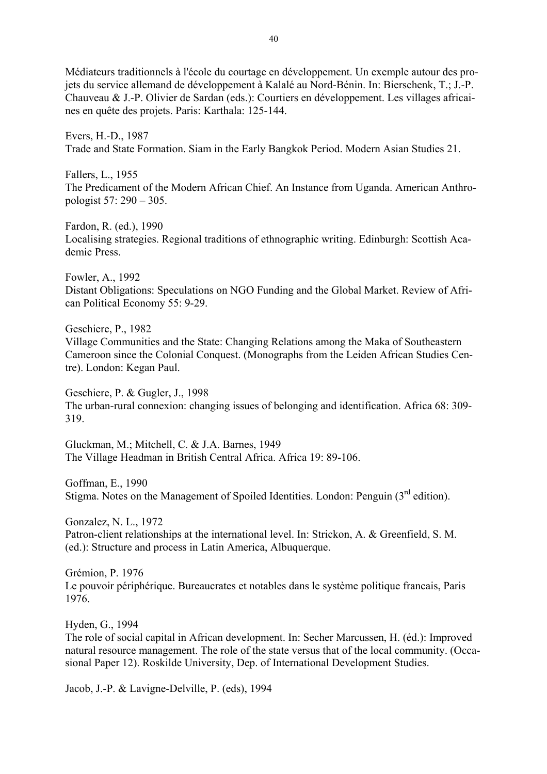Médiateurs traditionnels à l'école du courtage en développement. Un exemple autour des projets du service allemand de développement à Kalalé au Nord-Bénin. In: Bierschenk, T.; J.-P. Chauveau & J.-P. Olivier de Sardan (eds.): Courtiers en développement. Les villages africaines en quête des projets. Paris: Karthala: 125-144.

Evers, H.-D., 1987 Trade and State Formation. Siam in the Early Bangkok Period. Modern Asian Studies 21.

Fallers, L., 1955 The Predicament of the Modern African Chief. An Instance from Uganda. American Anthropologist 57: 290 – 305.

Fardon, R. (ed.), 1990 Localising strategies. Regional traditions of ethnographic writing. Edinburgh: Scottish Academic Press.

Fowler, A., 1992 Distant Obligations: Speculations on NGO Funding and the Global Market. Review of African Political Economy 55: 9-29.

Geschiere, P., 1982

Village Communities and the State: Changing Relations among the Maka of Southeastern Cameroon since the Colonial Conquest. (Monographs from the Leiden African Studies Centre). London: Kegan Paul.

Geschiere, P. & Gugler, J., 1998 The urban-rural connexion: changing issues of belonging and identification. Africa 68: 309- 319.

Gluckman, M.; Mitchell, C. & J.A. Barnes, 1949 The Village Headman in British Central Africa. Africa 19: 89-106.

Goffman, E., 1990 Stigma. Notes on the Management of Spoiled Identities. London: Penguin  $3<sup>rd</sup>$  edition).

Gonzalez, N. L., 1972 Patron-client relationships at the international level. In: Strickon, A. & Greenfield, S. M. (ed.): Structure and process in Latin America, Albuquerque.

Grémion, P. 1976 Le pouvoir périphérique. Bureaucrates et notables dans le système politique francais, Paris 1976.

Hyden, G., 1994

The role of social capital in African development. In: Secher Marcussen, H. (éd.): Improved natural resource management. The role of the state versus that of the local community. (Occasional Paper 12). Roskilde University, Dep. of International Development Studies.

Jacob, J.-P. & Lavigne-Delville, P. (eds), 1994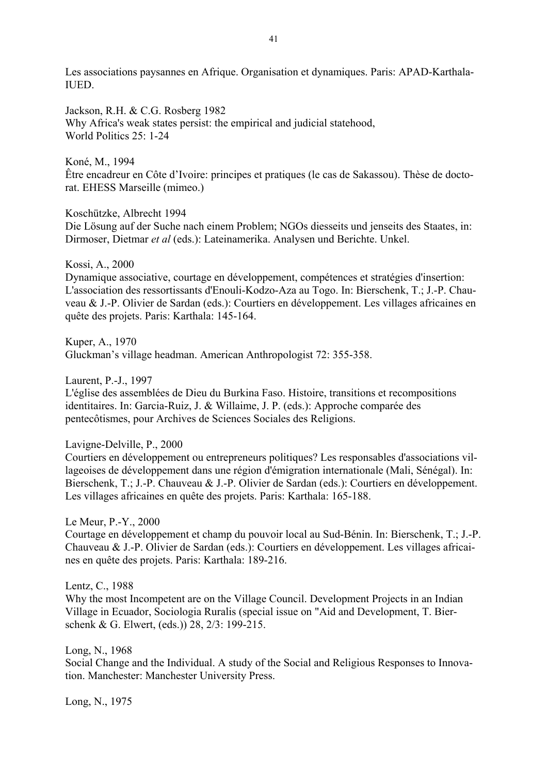Les associations paysannes en Afrique. Organisation et dynamiques. Paris: APAD-Karthala-IUED.

Jackson, R.H. & C.G. Rosberg 1982 Why Africa's weak states persist: the empirical and judicial statehood, World Politics 25: 1-24

Koné, M., 1994

Être encadreur en Côte d'Ivoire: principes et pratiques (le cas de Sakassou). Thèse de doctorat. EHESS Marseille (mimeo.)

Koschützke, Albrecht 1994

Die Lösung auf der Suche nach einem Problem; NGOs diesseits und jenseits des Staates, in: Dirmoser, Dietmar *et al* (eds.): Lateinamerika. Analysen und Berichte. Unkel.

Kossi, A., 2000

Dynamique associative, courtage en développement, compétences et stratégies d'insertion: L'association des ressortissants d'Enouli-Kodzo-Aza au Togo. In: Bierschenk, T.; J.-P. Chauveau & J.-P. Olivier de Sardan (eds.): Courtiers en développement. Les villages africaines en quête des projets. Paris: Karthala: 145-164.

Kuper, A., 1970 Gluckman's village headman. American Anthropologist 72: 355-358.

Laurent, P.-J., 1997

L'église des assemblées de Dieu du Burkina Faso. Histoire, transitions et recompositions identitaires. In: Garcia-Ruiz, J. & Willaime, J. P. (eds.): Approche comparée des pentecôtismes, pour Archives de Sciences Sociales des Religions.

Lavigne-Delville, P., 2000

Courtiers en développement ou entrepreneurs politiques? Les responsables d'associations villageoises de développement dans une région d'émigration internationale (Mali, Sénégal). In: Bierschenk, T.; J.-P. Chauveau & J.-P. Olivier de Sardan (eds.): Courtiers en développement. Les villages africaines en quête des projets. Paris: Karthala: 165-188.

Le Meur, P.-Y., 2000

Courtage en développement et champ du pouvoir local au Sud-Bénin. In: Bierschenk, T.; J.-P. Chauveau & J.-P. Olivier de Sardan (eds.): Courtiers en développement. Les villages africaines en quête des projets. Paris: Karthala: 189-216.

Lentz, C., 1988

Why the most Incompetent are on the Village Council. Development Projects in an Indian Village in Ecuador, Sociologia Ruralis (special issue on "Aid and Development, T. Bierschenk & G. Elwert, (eds.)) 28, 2/3: 199-215.

Long, N., 1968 Social Change and the Individual. A study of the Social and Religious Responses to Innovation. Manchester: Manchester University Press.

Long, N., 1975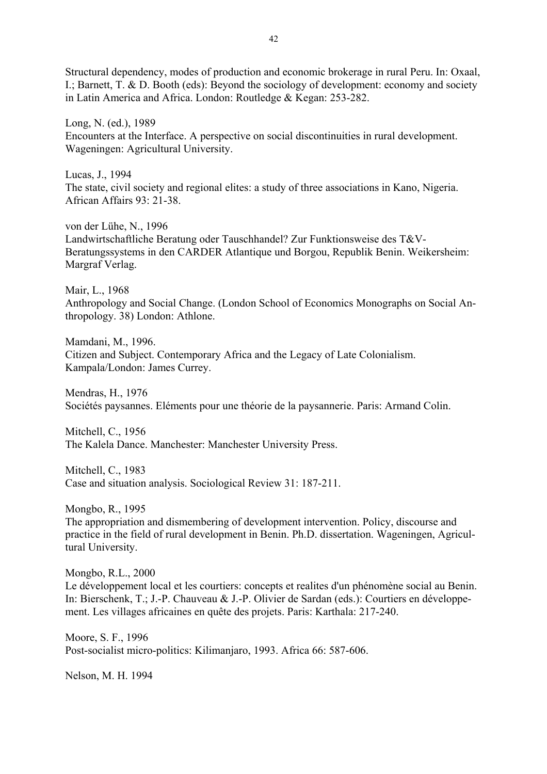Structural dependency, modes of production and economic brokerage in rural Peru. In: Oxaal, I.; Barnett, T. & D. Booth (eds): Beyond the sociology of development: economy and society in Latin America and Africa. London: Routledge & Kegan: 253-282.

Long, N. (ed.), 1989 Encounters at the Interface. A perspective on social discontinuities in rural development. Wageningen: Agricultural University.

Lucas, J., 1994 The state, civil society and regional elites: a study of three associations in Kano, Nigeria. African Affairs 93: 21-38.

von der Lühe, N., 1996 Landwirtschaftliche Beratung oder Tauschhandel? Zur Funktionsweise des T&V-Beratungssystems in den CARDER Atlantique und Borgou, Republik Benin. Weikersheim: Margraf Verlag.

Mair, L., 1968 Anthropology and Social Change. (London School of Economics Monographs on Social Anthropology. 38) London: Athlone.

Mamdani, M., 1996. Citizen and Subject. Contemporary Africa and the Legacy of Late Colonialism. Kampala/London: James Currey.

Mendras, H., 1976 Sociétés paysannes. Eléments pour une théorie de la paysannerie. Paris: Armand Colin.

Mitchell, C., 1956 The Kalela Dance. Manchester: Manchester University Press.

Mitchell, C., 1983 Case and situation analysis. Sociological Review 31: 187-211.

Mongbo, R., 1995

The appropriation and dismembering of development intervention. Policy, discourse and practice in the field of rural development in Benin. Ph.D. dissertation. Wageningen, Agricultural University.

Mongbo, R.L., 2000 Le développement local et les courtiers: concepts et realites d'un phénomène social au Benin. In: Bierschenk, T.; J.-P. Chauveau & J.-P. Olivier de Sardan (eds.): Courtiers en développement. Les villages africaines en quête des projets. Paris: Karthala: 217-240.

Moore, S. F., 1996 Post-socialist micro-politics: Kilimanjaro, 1993. Africa 66: 587-606.

Nelson, M. H. 1994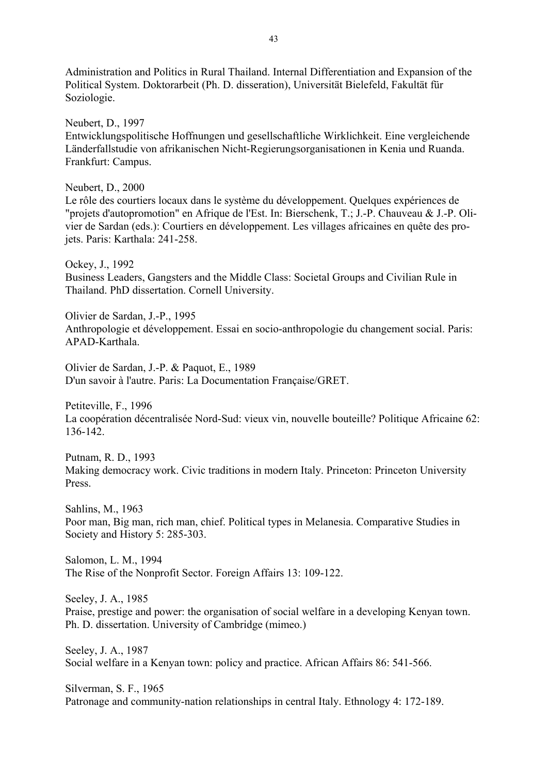Administration and Politics in Rural Thailand. Internal Differentiation and Expansion of the Political System. Doktorarbeit (Ph. D. disseration), Universität Bielefeld, Fakultät für Soziologie.

Neubert, D., 1997 Entwicklungspolitische Hoffnungen und gesellschaftliche Wirklichkeit. Eine vergleichende Länderfallstudie von afrikanischen Nicht-Regierungsorganisationen in Kenia und Ruanda. Frankfurt: Campus.

Neubert, D., 2000 Le rôle des courtiers locaux dans le système du développement. Quelques expériences de "projets d'autopromotion" en Afrique de l'Est. In: Bierschenk, T.; J.-P. Chauveau & J.-P. Olivier de Sardan (eds.): Courtiers en développement. Les villages africaines en quête des projets. Paris: Karthala: 241-258.

Ockey, J., 1992 Business Leaders, Gangsters and the Middle Class: Societal Groups and Civilian Rule in Thailand. PhD dissertation. Cornell University.

Olivier de Sardan, J.-P., 1995 Anthropologie et développement. Essai en socio-anthropologie du changement social. Paris: APAD-Karthala.

Olivier de Sardan, J.-P. & Paquot, E., 1989 D'un savoir à l'autre. Paris: La Documentation Française/GRET.

Petiteville, F., 1996 La coopération décentralisée Nord-Sud: vieux vin, nouvelle bouteille? Politique Africaine 62: 136-142.

Putnam, R. D., 1993 Making democracy work. Civic traditions in modern Italy. Princeton: Princeton University Press.

Sahlins, M., 1963 Poor man, Big man, rich man, chief. Political types in Melanesia. Comparative Studies in Society and History 5: 285-303.

Salomon, L. M., 1994 The Rise of the Nonprofit Sector. Foreign Affairs 13: 109-122.

Seeley, J. A., 1985 Praise, prestige and power: the organisation of social welfare in a developing Kenyan town. Ph. D. dissertation. University of Cambridge (mimeo.)

Seeley, J. A., 1987 Social welfare in a Kenyan town: policy and practice. African Affairs 86: 541-566.

Silverman, S. F., 1965 Patronage and community-nation relationships in central Italy. Ethnology 4: 172-189.